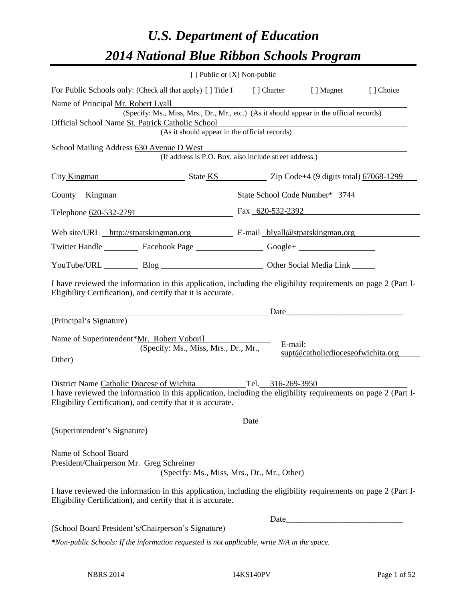# *U.S. Department of Education 2014 National Blue Ribbon Schools Program*

|                                                                                                                                                                                |                                                                                                                                              | [ ] Public or [X] Non-public                           |                                   |           |  |  |
|--------------------------------------------------------------------------------------------------------------------------------------------------------------------------------|----------------------------------------------------------------------------------------------------------------------------------------------|--------------------------------------------------------|-----------------------------------|-----------|--|--|
| For Public Schools only: (Check all that apply) [] Title I [] Charter [] Magnet                                                                                                |                                                                                                                                              |                                                        |                                   | [] Choice |  |  |
| Name of Principal Mr. Robert Lyall                                                                                                                                             |                                                                                                                                              |                                                        |                                   |           |  |  |
|                                                                                                                                                                                | (Specify: Ms., Miss, Mrs., Dr., Mr., etc.) (As it should appear in the official records)<br>Official School Name St. Patrick Catholic School |                                                        |                                   |           |  |  |
|                                                                                                                                                                                | (As it should appear in the official records)                                                                                                |                                                        |                                   |           |  |  |
| School Mailing Address 630 Avenue D West                                                                                                                                       |                                                                                                                                              |                                                        |                                   |           |  |  |
|                                                                                                                                                                                |                                                                                                                                              | (If address is P.O. Box, also include street address.) |                                   |           |  |  |
| City Kingman State KS Zip Code+4 (9 digits total) 67068-1299                                                                                                                   |                                                                                                                                              |                                                        |                                   |           |  |  |
| County Kingman State School Code Number* 3744                                                                                                                                  |                                                                                                                                              |                                                        |                                   |           |  |  |
|                                                                                                                                                                                |                                                                                                                                              | Telephone <u>620-532-2791</u> Fax 620-532-2392         |                                   |           |  |  |
| Web site/URL http://stpatskingman.org E-mail blyall@stpatskingman.org                                                                                                          |                                                                                                                                              |                                                        |                                   |           |  |  |
| Twitter Handle ___________ Facebook Page ____________________ Google+ __________                                                                                               |                                                                                                                                              |                                                        |                                   |           |  |  |
|                                                                                                                                                                                |                                                                                                                                              | YouTube/URL Blog Blog Diher Social Media Link          |                                   |           |  |  |
| I have reviewed the information in this application, including the eligibility requirements on page 2 (Part I-<br>Eligibility Certification), and certify that it is accurate. |                                                                                                                                              |                                                        |                                   |           |  |  |
|                                                                                                                                                                                |                                                                                                                                              |                                                        | Date                              |           |  |  |
| (Principal's Signature)                                                                                                                                                        |                                                                                                                                              |                                                        |                                   |           |  |  |
| Name of Superintendent*Mr. Robert Voboril                                                                                                                                      |                                                                                                                                              | E-mail:                                                |                                   |           |  |  |
|                                                                                                                                                                                | (Specify: Ms., Miss, Mrs., Dr., Mr.,                                                                                                         |                                                        | supt@catholicdioceseofwichita.org |           |  |  |
| Other)                                                                                                                                                                         |                                                                                                                                              |                                                        |                                   |           |  |  |
| District Name Catholic Diocese of Wichita Tel. 316-269-3950                                                                                                                    |                                                                                                                                              |                                                        |                                   |           |  |  |
| I have reviewed the information in this application, including the eligibility requirements on page 2 (Part I-<br>Eligibility Certification), and certify that it is accurate. |                                                                                                                                              |                                                        |                                   |           |  |  |
|                                                                                                                                                                                |                                                                                                                                              | Date                                                   |                                   |           |  |  |
| (Superintendent's Signature)                                                                                                                                                   |                                                                                                                                              |                                                        |                                   |           |  |  |
|                                                                                                                                                                                |                                                                                                                                              |                                                        |                                   |           |  |  |
| Name of School Board<br>President/Chairperson Mr. Greg Schreiner                                                                                                               |                                                                                                                                              |                                                        |                                   |           |  |  |
|                                                                                                                                                                                |                                                                                                                                              | (Specify: Ms., Miss, Mrs., Dr., Mr., Other)            |                                   |           |  |  |
| I have reviewed the information in this application, including the eligibility requirements on page 2 (Part I-<br>Eligibility Certification), and certify that it is accurate. |                                                                                                                                              |                                                        |                                   |           |  |  |
|                                                                                                                                                                                |                                                                                                                                              | Date                                                   |                                   |           |  |  |
| (School Board President's/Chairperson's Signature)                                                                                                                             |                                                                                                                                              |                                                        |                                   |           |  |  |
| $*$ Non-public Schools: If the information requested is not applicable, write N/A in the space.                                                                                |                                                                                                                                              |                                                        |                                   |           |  |  |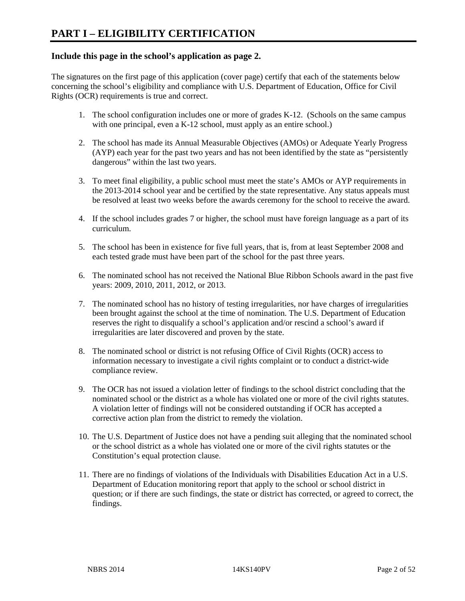#### **Include this page in the school's application as page 2.**

The signatures on the first page of this application (cover page) certify that each of the statements below concerning the school's eligibility and compliance with U.S. Department of Education, Office for Civil Rights (OCR) requirements is true and correct.

- 1. The school configuration includes one or more of grades K-12. (Schools on the same campus with one principal, even a K-12 school, must apply as an entire school.)
- 2. The school has made its Annual Measurable Objectives (AMOs) or Adequate Yearly Progress (AYP) each year for the past two years and has not been identified by the state as "persistently dangerous" within the last two years.
- 3. To meet final eligibility, a public school must meet the state's AMOs or AYP requirements in the 2013-2014 school year and be certified by the state representative. Any status appeals must be resolved at least two weeks before the awards ceremony for the school to receive the award.
- 4. If the school includes grades 7 or higher, the school must have foreign language as a part of its curriculum.
- 5. The school has been in existence for five full years, that is, from at least September 2008 and each tested grade must have been part of the school for the past three years.
- 6. The nominated school has not received the National Blue Ribbon Schools award in the past five years: 2009, 2010, 2011, 2012, or 2013.
- 7. The nominated school has no history of testing irregularities, nor have charges of irregularities been brought against the school at the time of nomination. The U.S. Department of Education reserves the right to disqualify a school's application and/or rescind a school's award if irregularities are later discovered and proven by the state.
- 8. The nominated school or district is not refusing Office of Civil Rights (OCR) access to information necessary to investigate a civil rights complaint or to conduct a district-wide compliance review.
- 9. The OCR has not issued a violation letter of findings to the school district concluding that the nominated school or the district as a whole has violated one or more of the civil rights statutes. A violation letter of findings will not be considered outstanding if OCR has accepted a corrective action plan from the district to remedy the violation.
- 10. The U.S. Department of Justice does not have a pending suit alleging that the nominated school or the school district as a whole has violated one or more of the civil rights statutes or the Constitution's equal protection clause.
- 11. There are no findings of violations of the Individuals with Disabilities Education Act in a U.S. Department of Education monitoring report that apply to the school or school district in question; or if there are such findings, the state or district has corrected, or agreed to correct, the findings.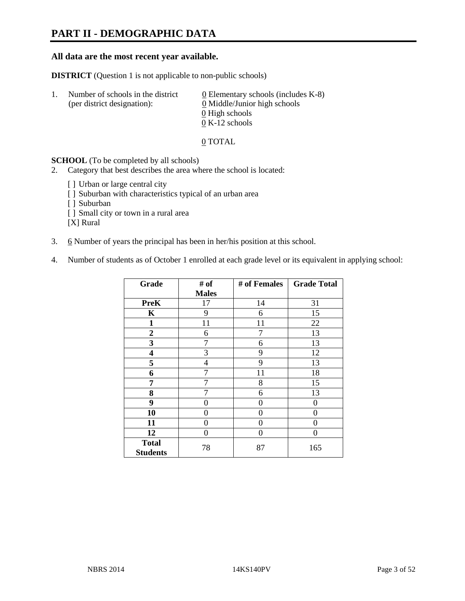# **PART II - DEMOGRAPHIC DATA**

#### **All data are the most recent year available.**

**DISTRICT** (Question 1 is not applicable to non-public schools)

| -1. | Number of schools in the district<br>(per district designation): | 0 Elementary schools (includes $K-8$ )<br>0 Middle/Junior high schools |  |
|-----|------------------------------------------------------------------|------------------------------------------------------------------------|--|
|     |                                                                  | 0 High schools                                                         |  |
|     |                                                                  | $0 K-12$ schools                                                       |  |

0 TOTAL

**SCHOOL** (To be completed by all schools)

2. Category that best describes the area where the school is located:

- [] Urban or large central city
- [] Suburban with characteristics typical of an urban area
- [ ] Suburban
- [ ] Small city or town in a rural area

[X] Rural

- 3.  $6$  Number of years the principal has been in her/his position at this school.
- 4. Number of students as of October 1 enrolled at each grade level or its equivalent in applying school:

| Grade           | # of           | # of Females | <b>Grade Total</b> |
|-----------------|----------------|--------------|--------------------|
|                 | <b>Males</b>   |              |                    |
| <b>PreK</b>     | 17             | 14           | 31                 |
| K               | 9              | 6            | 15                 |
| $\mathbf{1}$    | 11             | 11           | 22                 |
| $\overline{2}$  | 6              | 7            | 13                 |
| 3               | 7              | 6            | 13                 |
| 4               | 3              | 9            | 12                 |
| 5               | $\overline{4}$ | 9            | 13                 |
| 6               | 7              | 11           | 18                 |
| 7               | 7              | 8            | 15                 |
| 8               | 7              | 6            | 13                 |
| 9               | 0              | 0            | 0                  |
| 10              | 0              | 0            | 0                  |
| 11              | 0              | 0            | 0                  |
| 12              | 0              | $\theta$     | 0                  |
| <b>Total</b>    | 78             | 87           | 165                |
| <b>Students</b> |                |              |                    |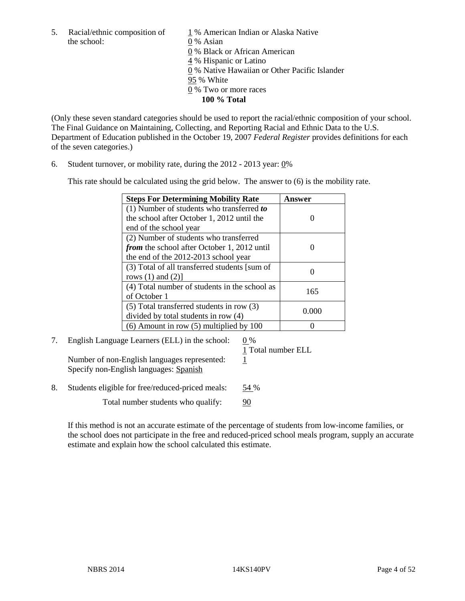the school: 0 % Asian

5. Racial/ethnic composition of  $1\%$  American Indian or Alaska Native 0 % Black or African American 4 % Hispanic or Latino 0 % Native Hawaiian or Other Pacific Islander 95 % White 0 % Two or more races **100 % Total** 

(Only these seven standard categories should be used to report the racial/ethnic composition of your school. The Final Guidance on Maintaining, Collecting, and Reporting Racial and Ethnic Data to the U.S. Department of Education published in the October 19, 2007 *Federal Register* provides definitions for each of the seven categories.)

6. Student turnover, or mobility rate, during the 2012 - 2013 year: 0%

This rate should be calculated using the grid below. The answer to (6) is the mobility rate.

| <b>Steps For Determining Mobility Rate</b>         | Answer |
|----------------------------------------------------|--------|
| (1) Number of students who transferred to          |        |
| the school after October 1, 2012 until the         |        |
| end of the school year                             |        |
| (2) Number of students who transferred             |        |
| <i>from</i> the school after October 1, 2012 until |        |
| the end of the 2012-2013 school year               |        |
| (3) Total of all transferred students [sum of      |        |
| rows $(1)$ and $(2)$ ]                             |        |
| (4) Total number of students in the school as      | 165    |
| of October 1                                       |        |
| $(5)$ Total transferred students in row $(3)$      | 0.000  |
| divided by total students in row (4)               |        |
| $(6)$ Amount in row $(5)$ multiplied by 100        |        |

# 7. English Language Learners (ELL) in the school: 0 %

Number of non-English languages represented: 1 Specify non-English languages: Spanish

1 Total number ELL

8. Students eligible for free/reduced-priced meals: 54 %

Total number students who qualify: 90

If this method is not an accurate estimate of the percentage of students from low-income families, or the school does not participate in the free and reduced-priced school meals program, supply an accurate estimate and explain how the school calculated this estimate.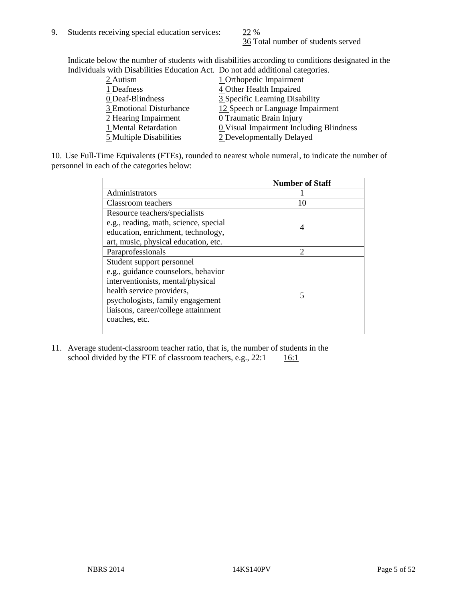36 Total number of students served

Indicate below the number of students with disabilities according to conditions designated in the Individuals with Disabilities Education Act. Do not add additional categories.

10. Use Full-Time Equivalents (FTEs), rounded to nearest whole numeral, to indicate the number of personnel in each of the categories below:

|                                       | <b>Number of Staff</b> |
|---------------------------------------|------------------------|
| Administrators                        |                        |
| Classroom teachers                    | 10                     |
| Resource teachers/specialists         |                        |
| e.g., reading, math, science, special | 4                      |
| education, enrichment, technology,    |                        |
| art, music, physical education, etc.  |                        |
| Paraprofessionals                     | $\mathfrak{D}$         |
| Student support personnel             |                        |
| e.g., guidance counselors, behavior   |                        |
| interventionists, mental/physical     |                        |
| health service providers,             |                        |
| psychologists, family engagement      |                        |
| liaisons, career/college attainment   |                        |
| coaches, etc.                         |                        |
|                                       |                        |

11. Average student-classroom teacher ratio, that is, the number of students in the school divided by the FTE of classroom teachers, e.g.,  $22:1$  16:1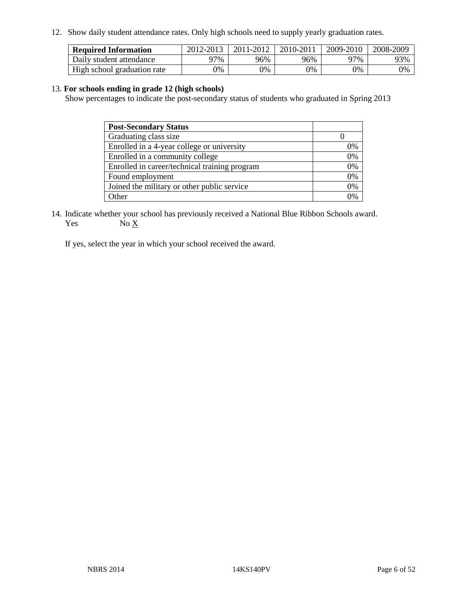12. Show daily student attendance rates. Only high schools need to supply yearly graduation rates.

| <b>Required Information</b> | 2012-2013 | 2011-2012 | 2010-2011 | 2009-2010 | 2008-2009 |
|-----------------------------|-----------|-----------|-----------|-----------|-----------|
| Daily student attendance    | ነ7%       | 96%       | 96%       | 77%       | 93%       |
| High school graduation rate | 9%        | 0%        | 0%        | 0%        | 0%        |

#### 13. **For schools ending in grade 12 (high schools)**

Show percentages to indicate the post-secondary status of students who graduated in Spring 2013

| <b>Post-Secondary Status</b>                  |                |
|-----------------------------------------------|----------------|
| Graduating class size                         |                |
| Enrolled in a 4-year college or university    | 0%             |
| Enrolled in a community college               | 0%             |
| Enrolled in career/technical training program | 0%             |
| Found employment                              | 0%             |
| Joined the military or other public service   | 0%             |
| <b>Other</b>                                  | $\gamma_{0/2}$ |

14. Indicate whether your school has previously received a National Blue Ribbon Schools award. Yes  $No \underline{X}$ 

If yes, select the year in which your school received the award.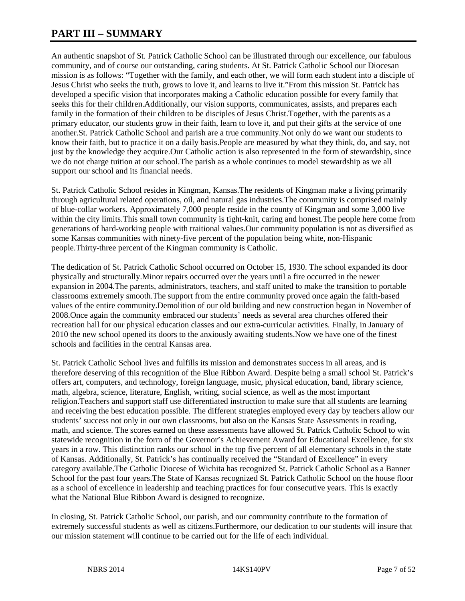# **PART III – SUMMARY**

An authentic snapshot of St. Patrick Catholic School can be illustrated through our excellence, our fabulous community, and of course our outstanding, caring students. At St. Patrick Catholic School our Diocesan mission is as follows: "Together with the family, and each other, we will form each student into a disciple of Jesus Christ who seeks the truth, grows to love it, and learns to live it."From this mission St. Patrick has developed a specific vision that incorporates making a Catholic education possible for every family that seeks this for their children.Additionally, our vision supports, communicates, assists, and prepares each family in the formation of their children to be disciples of Jesus Christ. Together, with the parents as a primary educator, our students grow in their faith, learn to love it, and put their gifts at the service of one another.St. Patrick Catholic School and parish are a true community.Not only do we want our students to know their faith, but to practice it on a daily basis.People are measured by what they think, do, and say, not just by the knowledge they acquire.Our Catholic action is also represented in the form of stewardship, since we do not charge tuition at our school.The parish as a whole continues to model stewardship as we all support our school and its financial needs.

St. Patrick Catholic School resides in Kingman, Kansas.The residents of Kingman make a living primarily through agricultural related operations, oil, and natural gas industries.The community is comprised mainly of blue-collar workers. Approximately 7,000 people reside in the county of Kingman and some 3,000 live within the city limits.This small town community is tight-knit, caring and honest.The people here come from generations of hard-working people with traitional values.Our community population is not as diversified as some Kansas communities with ninety-five percent of the population being white, non-Hispanic people.Thirty-three percent of the Kingman community is Catholic.

The dedication of St. Patrick Catholic School occurred on October 15, 1930. The school expanded its door physically and structurally.Minor repairs occurred over the years until a fire occurred in the newer expansion in 2004.The parents, administrators, teachers, and staff united to make the transition to portable classrooms extremely smooth.The support from the entire community proved once again the faith-based values of the entire community.Demolition of our old building and new construction began in November of 2008.Once again the community embraced our students' needs as several area churches offered their recreation hall for our physical education classes and our extra-curricular activities. Finally, in January of 2010 the new school opened its doors to the anxiously awaiting students.Now we have one of the finest schools and facilities in the central Kansas area.

St. Patrick Catholic School lives and fulfills its mission and demonstrates success in all areas, and is therefore deserving of this recognition of the Blue Ribbon Award. Despite being a small school St. Patrick's offers art, computers, and technology, foreign language, music, physical education, band, library science, math, algebra, science, literature, English, writing, social science, as well as the most important religion.Teachers and support staff use differentiated instruction to make sure that all students are learning and receiving the best education possible. The different strategies employed every day by teachers allow our students' success not only in our own classrooms, but also on the Kansas State Assessments in reading, math, and science. The scores earned on these assessments have allowed St. Patrick Catholic School to win statewide recognition in the form of the Governor's Achievement Award for Educational Excellence, for six years in a row. This distinction ranks our school in the top five percent of all elementary schools in the state of Kansas. Additionally, St. Patrick's has continually received the "Standard of Excellence" in every category available.The Catholic Diocese of Wichita has recognized St. Patrick Catholic School as a Banner School for the past four years.The State of Kansas recognized St. Patrick Catholic School on the house floor as a school of excellence in leadership and teaching practices for four consecutive years. This is exactly what the National Blue Ribbon Award is designed to recognize.

In closing, St. Patrick Catholic School, our parish, and our community contribute to the formation of extremely successful students as well as citizens.Furthermore, our dedication to our students will insure that our mission statement will continue to be carried out for the life of each individual.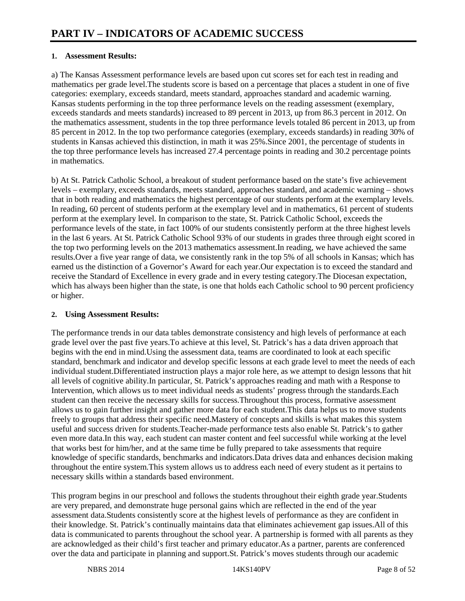#### **1. Assessment Results:**

a) The Kansas Assessment performance levels are based upon cut scores set for each test in reading and mathematics per grade level.The students score is based on a percentage that places a student in one of five categories: exemplary, exceeds standard, meets standard, approaches standard and academic warning. Kansas students performing in the top three performance levels on the reading assessment (exemplary, exceeds standards and meets standards) increased to 89 percent in 2013, up from 86.3 percent in 2012. On the mathematics assessment, students in the top three performance levels totaled 86 percent in 2013, up from 85 percent in 2012. In the top two performance categories (exemplary, exceeds standards) in reading 30% of students in Kansas achieved this distinction, in math it was 25%.Since 2001, the percentage of students in the top three performance levels has increased 27.4 percentage points in reading and 30.2 percentage points in mathematics.

b) At St. Patrick Catholic School, a breakout of student performance based on the state's five achievement levels – exemplary, exceeds standards, meets standard, approaches standard, and academic warning – shows that in both reading and mathematics the highest percentage of our students perform at the exemplary levels. In reading, 60 percent of students perform at the exemplary level and in mathematics, 61 percent of students perform at the exemplary level. In comparison to the state, St. Patrick Catholic School, exceeds the performance levels of the state, in fact 100% of our students consistently perform at the three highest levels in the last 6 years. At St. Patrick Catholic School 93% of our students in grades three through eight scored in the top two performing levels on the 2013 mathematics assessment.In reading, we have achieved the same results.Over a five year range of data, we consistently rank in the top 5% of all schools in Kansas; which has earned us the distinction of a Governor's Award for each year.Our expectation is to exceed the standard and receive the Standard of Excellence in every grade and in every testing category.The Diocesan expectation, which has always been higher than the state, is one that holds each Catholic school to 90 percent proficiency or higher.

#### **2. Using Assessment Results:**

The performance trends in our data tables demonstrate consistency and high levels of performance at each grade level over the past five years.To achieve at this level, St. Patrick's has a data driven approach that begins with the end in mind.Using the assessment data, teams are coordinated to look at each specific standard, benchmark and indicator and develop specific lessons at each grade level to meet the needs of each individual student.Differentiated instruction plays a major role here, as we attempt to design lessons that hit all levels of cognitive ability.In particular, St. Patrick's approaches reading and math with a Response to Intervention, which allows us to meet individual needs as students' progress through the standards.Each student can then receive the necessary skills for success.Throughout this process, formative assessment allows us to gain further insight and gather more data for each student.This data helps us to move students freely to groups that address their specific need.Mastery of concepts and skills is what makes this system useful and success driven for students.Teacher-made performance tests also enable St. Patrick's to gather even more data.In this way, each student can master content and feel successful while working at the level that works best for him/her, and at the same time be fully prepared to take assessments that require knowledge of specific standards, benchmarks and indicators.Data drives data and enhances decision making throughout the entire system.This system allows us to address each need of every student as it pertains to necessary skills within a standards based environment.

This program begins in our preschool and follows the students throughout their eighth grade year.Students are very prepared, and demonstrate huge personal gains which are reflected in the end of the year assessment data.Students consistently score at the highest levels of performance as they are confident in their knowledge. St. Patrick's continually maintains data that eliminates achievement gap issues.All of this data is communicated to parents throughout the school year. A partnership is formed with all parents as they are acknowledged as their child's first teacher and primary educator.As a partner, parents are conferenced over the data and participate in planning and support.St. Patrick's moves students through our academic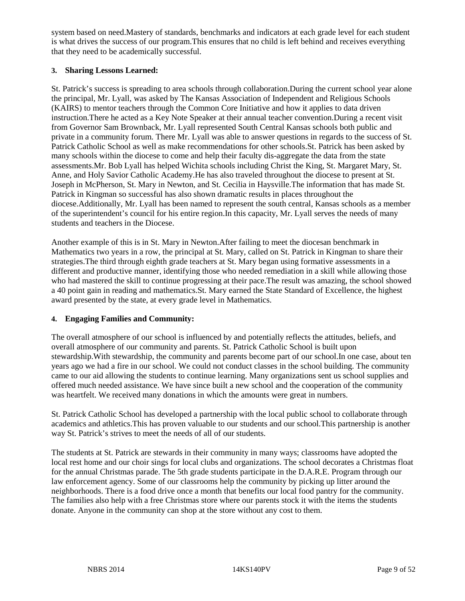system based on need.Mastery of standards, benchmarks and indicators at each grade level for each student is what drives the success of our program.This ensures that no child is left behind and receives everything that they need to be academically successful.

#### **3. Sharing Lessons Learned:**

St. Patrick's success is spreading to area schools through collaboration.During the current school year alone the principal, Mr. Lyall, was asked by The Kansas Association of Independent and Religious Schools (KAIRS) to mentor teachers through the Common Core Initiative and how it applies to data driven instruction.There he acted as a Key Note Speaker at their annual teacher convention.During a recent visit from Governor Sam Brownback, Mr. Lyall represented South Central Kansas schools both public and private in a community forum. There Mr. Lyall was able to answer questions in regards to the success of St. Patrick Catholic School as well as make recommendations for other schools.St. Patrick has been asked by many schools within the diocese to come and help their faculty dis-aggregate the data from the state assessments.Mr. Bob Lyall has helped Wichita schools including Christ the King, St. Margaret Mary, St. Anne, and Holy Savior Catholic Academy.He has also traveled throughout the diocese to present at St. Joseph in McPherson, St. Mary in Newton, and St. Cecilia in Haysville.The information that has made St. Patrick in Kingman so successful has also shown dramatic results in places throughout the diocese.Additionally, Mr. Lyall has been named to represent the south central, Kansas schools as a member of the superintendent's council for his entire region.In this capacity, Mr. Lyall serves the needs of many students and teachers in the Diocese.

Another example of this is in St. Mary in Newton.After failing to meet the diocesan benchmark in Mathematics two years in a row, the principal at St. Mary, called on St. Patrick in Kingman to share their strategies.The third through eighth grade teachers at St. Mary began using formative assessments in a different and productive manner, identifying those who needed remediation in a skill while allowing those who had mastered the skill to continue progressing at their pace.The result was amazing, the school showed a 40 point gain in reading and mathematics.St. Mary earned the State Standard of Excellence, the highest award presented by the state, at every grade level in Mathematics.

#### **4. Engaging Families and Community:**

The overall atmosphere of our school is influenced by and potentially reflects the attitudes, beliefs, and overall atmosphere of our community and parents. St. Patrick Catholic School is built upon stewardship.With stewardship, the community and parents become part of our school.In one case, about ten years ago we had a fire in our school. We could not conduct classes in the school building. The community came to our aid allowing the students to continue learning. Many organizations sent us school supplies and offered much needed assistance. We have since built a new school and the cooperation of the community was heartfelt. We received many donations in which the amounts were great in numbers.

St. Patrick Catholic School has developed a partnership with the local public school to collaborate through academics and athletics.This has proven valuable to our students and our school.This partnership is another way St. Patrick's strives to meet the needs of all of our students.

The students at St. Patrick are stewards in their community in many ways; classrooms have adopted the local rest home and our choir sings for local clubs and organizations. The school decorates a Christmas float for the annual Christmas parade. The 5th grade students participate in the D.A.R.E. Program through our law enforcement agency. Some of our classrooms help the community by picking up litter around the neighborhoods. There is a food drive once a month that benefits our local food pantry for the community. The families also help with a free Christmas store where our parents stock it with the items the students donate. Anyone in the community can shop at the store without any cost to them.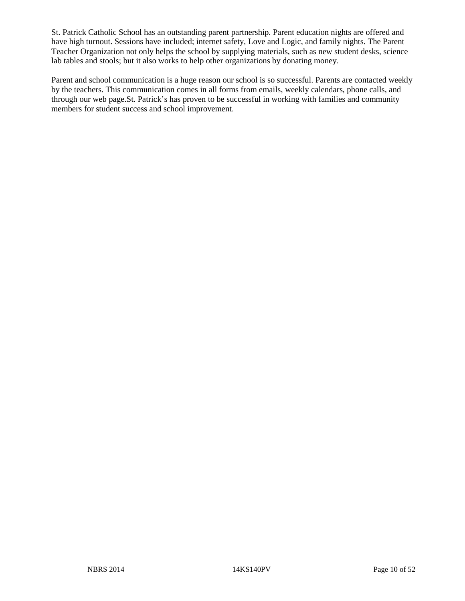St. Patrick Catholic School has an outstanding parent partnership. Parent education nights are offered and have high turnout. Sessions have included; internet safety, Love and Logic, and family nights. The Parent Teacher Organization not only helps the school by supplying materials, such as new student desks, science lab tables and stools; but it also works to help other organizations by donating money.

Parent and school communication is a huge reason our school is so successful. Parents are contacted weekly by the teachers. This communication comes in all forms from emails, weekly calendars, phone calls, and through our web page.St. Patrick's has proven to be successful in working with families and community members for student success and school improvement.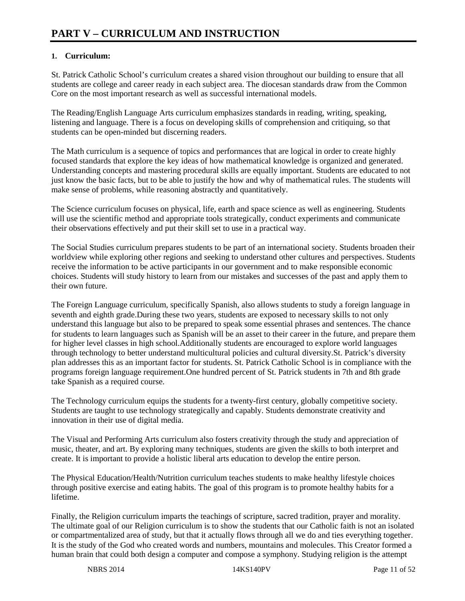#### **1. Curriculum:**

St. Patrick Catholic School's curriculum creates a shared vision throughout our building to ensure that all students are college and career ready in each subject area. The diocesan standards draw from the Common Core on the most important research as well as successful international models.

The Reading/English Language Arts curriculum emphasizes standards in reading, writing, speaking, listening and language. There is a focus on developing skills of comprehension and critiquing, so that students can be open-minded but discerning readers.

The Math curriculum is a sequence of topics and performances that are logical in order to create highly focused standards that explore the key ideas of how mathematical knowledge is organized and generated. Understanding concepts and mastering procedural skills are equally important. Students are educated to not just know the basic facts, but to be able to justify the how and why of mathematical rules. The students will make sense of problems, while reasoning abstractly and quantitatively.

The Science curriculum focuses on physical, life, earth and space science as well as engineering. Students will use the scientific method and appropriate tools strategically, conduct experiments and communicate their observations effectively and put their skill set to use in a practical way.

The Social Studies curriculum prepares students to be part of an international society. Students broaden their worldview while exploring other regions and seeking to understand other cultures and perspectives. Students receive the information to be active participants in our government and to make responsible economic choices. Students will study history to learn from our mistakes and successes of the past and apply them to their own future.

The Foreign Language curriculum, specifically Spanish, also allows students to study a foreign language in seventh and eighth grade.During these two years, students are exposed to necessary skills to not only understand this language but also to be prepared to speak some essential phrases and sentences. The chance for students to learn languages such as Spanish will be an asset to their career in the future, and prepare them for higher level classes in high school.Additionally students are encouraged to explore world languages through technology to better understand multicultural policies and cultural diversity.St. Patrick's diversity plan addresses this as an important factor for students. St. Patrick Catholic School is in compliance with the programs foreign language requirement.One hundred percent of St. Patrick students in 7th and 8th grade take Spanish as a required course.

The Technology curriculum equips the students for a twenty-first century, globally competitive society. Students are taught to use technology strategically and capably. Students demonstrate creativity and innovation in their use of digital media.

The Visual and Performing Arts curriculum also fosters creativity through the study and appreciation of music, theater, and art. By exploring many techniques, students are given the skills to both interpret and create. It is important to provide a holistic liberal arts education to develop the entire person.

The Physical Education/Health/Nutrition curriculum teaches students to make healthy lifestyle choices through positive exercise and eating habits. The goal of this program is to promote healthy habits for a lifetime.

Finally, the Religion curriculum imparts the teachings of scripture, sacred tradition, prayer and morality. The ultimate goal of our Religion curriculum is to show the students that our Catholic faith is not an isolated or compartmentalized area of study, but that it actually flows through all we do and ties everything together. It is the study of the God who created words and numbers, mountains and molecules. This Creator formed a human brain that could both design a computer and compose a symphony. Studying religion is the attempt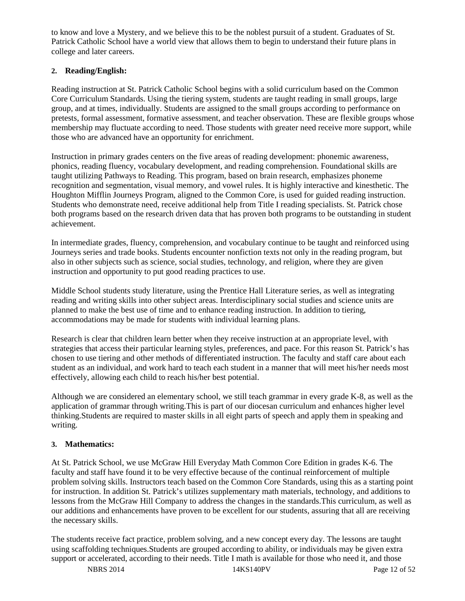to know and love a Mystery, and we believe this to be the noblest pursuit of a student. Graduates of St. Patrick Catholic School have a world view that allows them to begin to understand their future plans in college and later careers.

#### **2. Reading/English:**

Reading instruction at St. Patrick Catholic School begins with a solid curriculum based on the Common Core Curriculum Standards. Using the tiering system, students are taught reading in small groups, large group, and at times, individually. Students are assigned to the small groups according to performance on pretests, formal assessment, formative assessment, and teacher observation. These are flexible groups whose membership may fluctuate according to need. Those students with greater need receive more support, while those who are advanced have an opportunity for enrichment.

Instruction in primary grades centers on the five areas of reading development: phonemic awareness, phonics, reading fluency, vocabulary development, and reading comprehension. Foundational skills are taught utilizing Pathways to Reading. This program, based on brain research, emphasizes phoneme recognition and segmentation, visual memory, and vowel rules. It is highly interactive and kinesthetic. The Houghton Mifflin Journeys Program, aligned to the Common Core, is used for guided reading instruction. Students who demonstrate need, receive additional help from Title I reading specialists. St. Patrick chose both programs based on the research driven data that has proven both programs to be outstanding in student achievement.

In intermediate grades, fluency, comprehension, and vocabulary continue to be taught and reinforced using Journeys series and trade books. Students encounter nonfiction texts not only in the reading program, but also in other subjects such as science, social studies, technology, and religion, where they are given instruction and opportunity to put good reading practices to use.

Middle School students study literature, using the Prentice Hall Literature series, as well as integrating reading and writing skills into other subject areas. Interdisciplinary social studies and science units are planned to make the best use of time and to enhance reading instruction. In addition to tiering, accommodations may be made for students with individual learning plans.

Research is clear that children learn better when they receive instruction at an appropriate level, with strategies that access their particular learning styles, preferences, and pace. For this reason St. Patrick's has chosen to use tiering and other methods of differentiated instruction. The faculty and staff care about each student as an individual, and work hard to teach each student in a manner that will meet his/her needs most effectively, allowing each child to reach his/her best potential.

Although we are considered an elementary school, we still teach grammar in every grade K-8, as well as the application of grammar through writing.This is part of our diocesan curriculum and enhances higher level thinking.Students are required to master skills in all eight parts of speech and apply them in speaking and writing.

#### **3. Mathematics:**

At St. Patrick School, we use McGraw Hill Everyday Math Common Core Edition in grades K-6. The faculty and staff have found it to be very effective because of the continual reinforcement of multiple problem solving skills. Instructors teach based on the Common Core Standards, using this as a starting point for instruction. In addition St. Patrick's utilizes supplementary math materials, technology, and additions to lessons from the McGraw Hill Company to address the changes in the standards.This curriculum, as well as our additions and enhancements have proven to be excellent for our students, assuring that all are receiving the necessary skills.

The students receive fact practice, problem solving, and a new concept every day. The lessons are taught using scaffolding techniques.Students are grouped according to ability, or individuals may be given extra support or accelerated, according to their needs. Title I math is available for those who need it, and those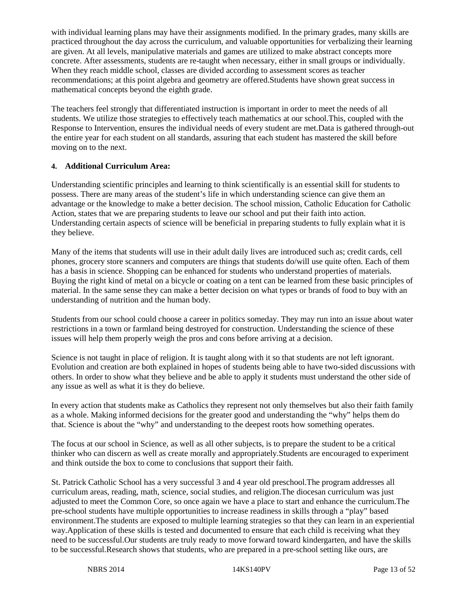with individual learning plans may have their assignments modified. In the primary grades, many skills are practiced throughout the day across the curriculum, and valuable opportunities for verbalizing their learning are given. At all levels, manipulative materials and games are utilized to make abstract concepts more concrete. After assessments, students are re-taught when necessary, either in small groups or individually. When they reach middle school, classes are divided according to assessment scores as teacher recommendations; at this point algebra and geometry are offered.Students have shown great success in mathematical concepts beyond the eighth grade.

The teachers feel strongly that differentiated instruction is important in order to meet the needs of all students. We utilize those strategies to effectively teach mathematics at our school.This, coupled with the Response to Intervention, ensures the individual needs of every student are met.Data is gathered through-out the entire year for each student on all standards, assuring that each student has mastered the skill before moving on to the next.

#### **4. Additional Curriculum Area:**

Understanding scientific principles and learning to think scientifically is an essential skill for students to possess. There are many areas of the student's life in which understanding science can give them an advantage or the knowledge to make a better decision. The school mission, Catholic Education for Catholic Action, states that we are preparing students to leave our school and put their faith into action. Understanding certain aspects of science will be beneficial in preparing students to fully explain what it is they believe.

Many of the items that students will use in their adult daily lives are introduced such as; credit cards, cell phones, grocery store scanners and computers are things that students do/will use quite often. Each of them has a basis in science. Shopping can be enhanced for students who understand properties of materials. Buying the right kind of metal on a bicycle or coating on a tent can be learned from these basic principles of material. In the same sense they can make a better decision on what types or brands of food to buy with an understanding of nutrition and the human body.

Students from our school could choose a career in politics someday. They may run into an issue about water restrictions in a town or farmland being destroyed for construction. Understanding the science of these issues will help them properly weigh the pros and cons before arriving at a decision.

Science is not taught in place of religion. It is taught along with it so that students are not left ignorant. Evolution and creation are both explained in hopes of students being able to have two-sided discussions with others. In order to show what they believe and be able to apply it students must understand the other side of any issue as well as what it is they do believe.

In every action that students make as Catholics they represent not only themselves but also their faith family as a whole. Making informed decisions for the greater good and understanding the "why" helps them do that. Science is about the "why" and understanding to the deepest roots how something operates.

The focus at our school in Science, as well as all other subjects, is to prepare the student to be a critical thinker who can discern as well as create morally and appropriately.Students are encouraged to experiment and think outside the box to come to conclusions that support their faith.

St. Patrick Catholic School has a very successful 3 and 4 year old preschool.The program addresses all curriculum areas, reading, math, science, social studies, and religion.The diocesan curriculum was just adjusted to meet the Common Core, so once again we have a place to start and enhance the curriculum.The pre-school students have multiple opportunities to increase readiness in skills through a "play" based environment.The students are exposed to multiple learning strategies so that they can learn in an experiential way.Application of these skills is tested and documented to ensure that each child is receiving what they need to be successful.Our students are truly ready to move forward toward kindergarten, and have the skills to be successful.Research shows that students, who are prepared in a pre-school setting like ours, are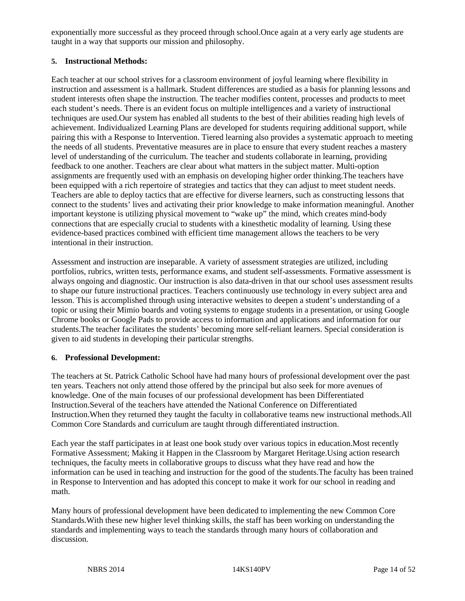exponentially more successful as they proceed through school.Once again at a very early age students are taught in a way that supports our mission and philosophy.

#### **5. Instructional Methods:**

Each teacher at our school strives for a classroom environment of joyful learning where flexibility in instruction and assessment is a hallmark. Student differences are studied as a basis for planning lessons and student interests often shape the instruction. The teacher modifies content, processes and products to meet each student's needs. There is an evident focus on multiple intelligences and a variety of instructional techniques are used.Our system has enabled all students to the best of their abilities reading high levels of achievement. Individualized Learning Plans are developed for students requiring additional support, while pairing this with a Response to Intervention. Tiered learning also provides a systematic approach to meeting the needs of all students. Preventative measures are in place to ensure that every student reaches a mastery level of understanding of the curriculum. The teacher and students collaborate in learning, providing feedback to one another. Teachers are clear about what matters in the subject matter. Multi-option assignments are frequently used with an emphasis on developing higher order thinking.The teachers have been equipped with a rich repertoire of strategies and tactics that they can adjust to meet student needs. Teachers are able to deploy tactics that are effective for diverse learners, such as constructing lessons that connect to the students' lives and activating their prior knowledge to make information meaningful. Another important keystone is utilizing physical movement to "wake up" the mind, which creates mind-body connections that are especially crucial to students with a kinesthetic modality of learning. Using these evidence-based practices combined with efficient time management allows the teachers to be very intentional in their instruction.

Assessment and instruction are inseparable. A variety of assessment strategies are utilized, including portfolios, rubrics, written tests, performance exams, and student self-assessments. Formative assessment is always ongoing and diagnostic. Our instruction is also data-driven in that our school uses assessment results to shape our future instructional practices. Teachers continuously use technology in every subject area and lesson. This is accomplished through using interactive websites to deepen a student's understanding of a topic or using their Mimio boards and voting systems to engage students in a presentation, or using Google Chrome books or Google Pads to provide access to information and applications and information for our students.The teacher facilitates the students' becoming more self-reliant learners. Special consideration is given to aid students in developing their particular strengths.

#### **6. Professional Development:**

The teachers at St. Patrick Catholic School have had many hours of professional development over the past ten years. Teachers not only attend those offered by the principal but also seek for more avenues of knowledge. One of the main focuses of our professional development has been Differentiated Instruction.Several of the teachers have attended the National Conference on Differentiated Instruction.When they returned they taught the faculty in collaborative teams new instructional methods.All Common Core Standards and curriculum are taught through differentiated instruction.

Each year the staff participates in at least one book study over various topics in education.Most recently Formative Assessment; Making it Happen in the Classroom by Margaret Heritage.Using action research techniques, the faculty meets in collaborative groups to discuss what they have read and how the information can be used in teaching and instruction for the good of the students.The faculty has been trained in Response to Intervention and has adopted this concept to make it work for our school in reading and math.

Many hours of professional development have been dedicated to implementing the new Common Core Standards.With these new higher level thinking skills, the staff has been working on understanding the standards and implementing ways to teach the standards through many hours of collaboration and discussion.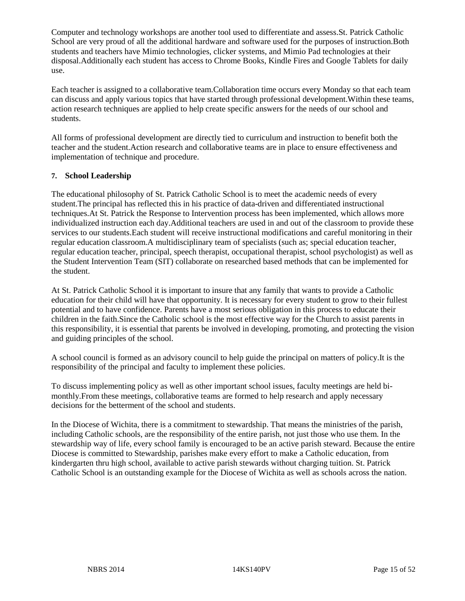Computer and technology workshops are another tool used to differentiate and assess.St. Patrick Catholic School are very proud of all the additional hardware and software used for the purposes of instruction.Both students and teachers have Mimio technologies, clicker systems, and Mimio Pad technologies at their disposal.Additionally each student has access to Chrome Books, Kindle Fires and Google Tablets for daily use.

Each teacher is assigned to a collaborative team.Collaboration time occurs every Monday so that each team can discuss and apply various topics that have started through professional development.Within these teams, action research techniques are applied to help create specific answers for the needs of our school and students.

All forms of professional development are directly tied to curriculum and instruction to benefit both the teacher and the student.Action research and collaborative teams are in place to ensure effectiveness and implementation of technique and procedure.

#### **7. School Leadership**

The educational philosophy of St. Patrick Catholic School is to meet the academic needs of every student.The principal has reflected this in his practice of data-driven and differentiated instructional techniques.At St. Patrick the Response to Intervention process has been implemented, which allows more individualized instruction each day.Additional teachers are used in and out of the classroom to provide these services to our students.Each student will receive instructional modifications and careful monitoring in their regular education classroom.A multidisciplinary team of specialists (such as; special education teacher, regular education teacher, principal, speech therapist, occupational therapist, school psychologist) as well as the Student Intervention Team (SIT) collaborate on researched based methods that can be implemented for the student.

At St. Patrick Catholic School it is important to insure that any family that wants to provide a Catholic education for their child will have that opportunity. It is necessary for every student to grow to their fullest potential and to have confidence. Parents have a most serious obligation in this process to educate their children in the faith.Since the Catholic school is the most effective way for the Church to assist parents in this responsibility, it is essential that parents be involved in developing, promoting, and protecting the vision and guiding principles of the school.

A school council is formed as an advisory council to help guide the principal on matters of policy.It is the responsibility of the principal and faculty to implement these policies.

To discuss implementing policy as well as other important school issues, faculty meetings are held bimonthly.From these meetings, collaborative teams are formed to help research and apply necessary decisions for the betterment of the school and students.

In the Diocese of Wichita, there is a commitment to stewardship. That means the ministries of the parish, including Catholic schools, are the responsibility of the entire parish, not just those who use them. In the stewardship way of life, every school family is encouraged to be an active parish steward. Because the entire Diocese is committed to Stewardship, parishes make every effort to make a Catholic education, from kindergarten thru high school, available to active parish stewards without charging tuition. St. Patrick Catholic School is an outstanding example for the Diocese of Wichita as well as schools across the nation.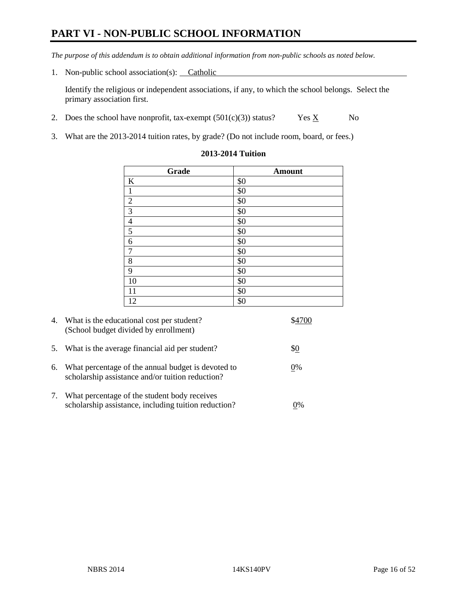# **PART VI - NON-PUBLIC SCHOOL INFORMATION**

*The purpose of this addendum is to obtain additional information from non-public schools as noted below.* 

1. Non-public school association(s): Catholic

Identify the religious or independent associations, if any, to which the school belongs. Select the primary association first.

- 2. Does the school have nonprofit, tax-exempt  $(501(c)(3))$  status? Yes  $\underline{X}$  No
- 3. What are the 2013-2014 tuition rates, by grade? (Do not include room, board, or fees.)

| Grade                   | <b>Amount</b> |
|-------------------------|---------------|
| $\bf K$                 | \$0           |
| $\mathbf{1}$            | \$0           |
| $\overline{2}$          | \$0           |
| $\overline{\mathbf{3}}$ | \$0           |
|                         | \$0           |
| $\frac{4}{5}$           | \$0           |
| $\sqrt{6}$              | \$0           |
| $\boldsymbol{7}$        | \$0           |
| $\,$ 8 $\,$             | \$0           |
| $\overline{9}$          | \$0           |
| 10                      | \$0           |
| 11                      | \$0           |
| 12                      | \$0           |

#### **2013-2014 Tuition**

|    | 4. What is the educational cost per student?<br>(School budget divided by enrollment)                  |       |
|----|--------------------------------------------------------------------------------------------------------|-------|
|    | 5. What is the average financial aid per student?                                                      | \$0   |
| 6. | What percentage of the annual budget is devoted to<br>scholarship assistance and/or tuition reduction? | 0%    |
| 7. | What percentage of the student body receives<br>scholarship assistance, including tuition reduction?   | $0\%$ |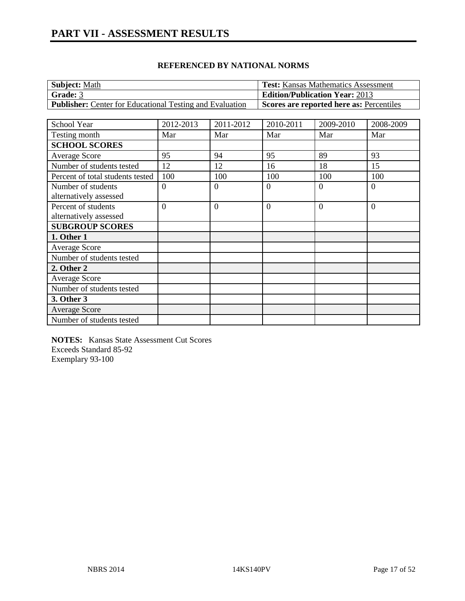| <b>Subject:</b> Math                                            | <b>Test:</b> Kansas Mathematics Assessment |
|-----------------------------------------------------------------|--------------------------------------------|
| <b>Grade: 3</b>                                                 | <b>Edition/Publication Year: 2013</b>      |
| <b>Publisher:</b> Center for Educational Testing and Evaluation | Scores are reported here as: Percentiles   |

| School Year                      | 2012-2013      | 2011-2012 | 2010-2011      | 2009-2010 | 2008-2009      |
|----------------------------------|----------------|-----------|----------------|-----------|----------------|
| Testing month                    | Mar            | Mar       | Mar            | Mar       | Mar            |
| <b>SCHOOL SCORES</b>             |                |           |                |           |                |
| Average Score                    | 95             | 94        | 95             | 89        | 93             |
| Number of students tested        | 12             | 12        | 16             | 18        | 15             |
| Percent of total students tested | 100            | 100       | 100            | 100       | 100            |
| Number of students               | $\overline{0}$ | $\Omega$  | $\overline{0}$ | $\Omega$  | $\theta$       |
| alternatively assessed           |                |           |                |           |                |
| Percent of students              | $\Omega$       | $\theta$  | $\theta$       | $\theta$  | $\overline{0}$ |
| alternatively assessed           |                |           |                |           |                |
| <b>SUBGROUP SCORES</b>           |                |           |                |           |                |
| 1. Other 1                       |                |           |                |           |                |
| <b>Average Score</b>             |                |           |                |           |                |
| Number of students tested        |                |           |                |           |                |
| 2. Other 2                       |                |           |                |           |                |
| <b>Average Score</b>             |                |           |                |           |                |
| Number of students tested        |                |           |                |           |                |
| 3. Other 3                       |                |           |                |           |                |
| <b>Average Score</b>             |                |           |                |           |                |
| Number of students tested        |                |           |                |           |                |

**NOTES:** Kansas State Assessment Cut Scores Exceeds Standard 85-92 Exemplary 93-100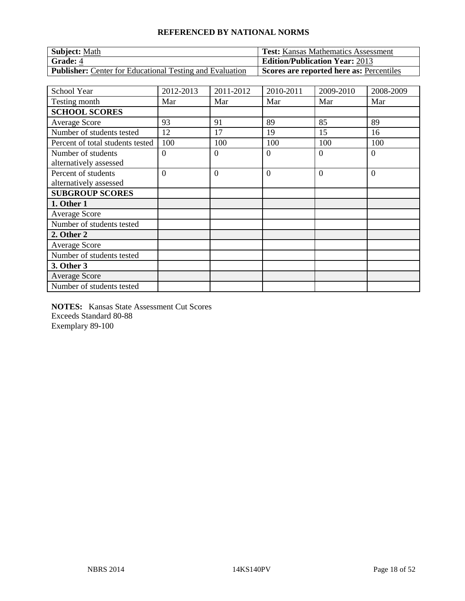| <b>Subject: Math</b>                                            | <b>Test:</b> Kansas Mathematics Assessment |
|-----------------------------------------------------------------|--------------------------------------------|
| Grade: 4                                                        | <b>Edition/Publication Year: 2013</b>      |
| <b>Publisher:</b> Center for Educational Testing and Evaluation | Scores are reported here as: Percentiles   |

| <b>School Year</b>               | 2012-2013      | 2011-2012      | 2010-2011      | 2009-2010 | 2008-2009      |
|----------------------------------|----------------|----------------|----------------|-----------|----------------|
| Testing month                    | Mar            | Mar            | Mar            | Mar       | Mar            |
| <b>SCHOOL SCORES</b>             |                |                |                |           |                |
| <b>Average Score</b>             | 93             | 91             | 89             | 85        | 89             |
| Number of students tested        | 12             | 17             | 19             | 15        | 16             |
| Percent of total students tested | 100            | 100            | 100            | 100       | 100            |
| Number of students               | $\theta$       | $\theta$       | $\overline{0}$ | $\Omega$  | $\overline{0}$ |
| alternatively assessed           |                |                |                |           |                |
| Percent of students              | $\overline{0}$ | $\overline{0}$ | $\overline{0}$ | $\Omega$  | $\overline{0}$ |
| alternatively assessed           |                |                |                |           |                |
| <b>SUBGROUP SCORES</b>           |                |                |                |           |                |
| 1. Other 1                       |                |                |                |           |                |
| <b>Average Score</b>             |                |                |                |           |                |
| Number of students tested        |                |                |                |           |                |
| 2. Other 2                       |                |                |                |           |                |
| Average Score                    |                |                |                |           |                |
| Number of students tested        |                |                |                |           |                |
| 3. Other 3                       |                |                |                |           |                |
| <b>Average Score</b>             |                |                |                |           |                |
| Number of students tested        |                |                |                |           |                |

**NOTES:** Kansas State Assessment Cut Scores Exceeds Standard 80-88 Exemplary 89-100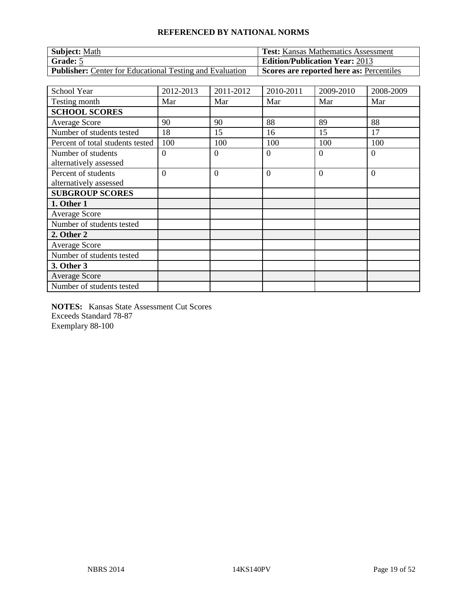| <b>Subject: Math</b>                                            | <b>Test:</b> Kansas Mathematics Assessment |
|-----------------------------------------------------------------|--------------------------------------------|
| <b>Grade:</b> 5                                                 | <b>Edition/Publication Year: 2013</b>      |
| <b>Publisher:</b> Center for Educational Testing and Evaluation | Scores are reported here as: Percentiles   |

| <b>School Year</b>               | 2012-2013      | 2011-2012      | 2010-2011      | 2009-2010 | 2008-2009      |
|----------------------------------|----------------|----------------|----------------|-----------|----------------|
| Testing month                    | Mar            | Mar            | Mar            | Mar       | Mar            |
| <b>SCHOOL SCORES</b>             |                |                |                |           |                |
| <b>Average Score</b>             | 90             | 90             | 88             | 89        | 88             |
| Number of students tested        | 18             | 15             | 16             | 15        | 17             |
| Percent of total students tested | 100            | 100            | 100            | 100       | 100            |
| Number of students               | $\theta$       | $\theta$       | $\overline{0}$ | $\Omega$  | $\overline{0}$ |
| alternatively assessed           |                |                |                |           |                |
| Percent of students              | $\overline{0}$ | $\overline{0}$ | $\overline{0}$ | $\Omega$  | $\overline{0}$ |
| alternatively assessed           |                |                |                |           |                |
| <b>SUBGROUP SCORES</b>           |                |                |                |           |                |
| 1. Other 1                       |                |                |                |           |                |
| <b>Average Score</b>             |                |                |                |           |                |
| Number of students tested        |                |                |                |           |                |
| 2. Other 2                       |                |                |                |           |                |
| Average Score                    |                |                |                |           |                |
| Number of students tested        |                |                |                |           |                |
| 3. Other 3                       |                |                |                |           |                |
| <b>Average Score</b>             |                |                |                |           |                |
| Number of students tested        |                |                |                |           |                |

**NOTES:** Kansas State Assessment Cut Scores Exceeds Standard 78-87 Exemplary 88-100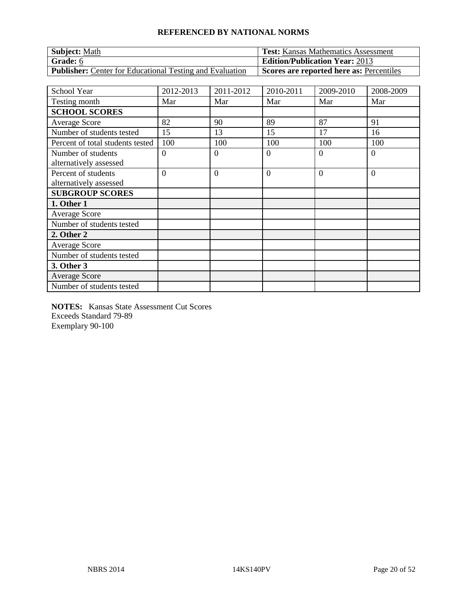| <b>Subject: Math</b>                                            | <b>Test:</b> Kansas Mathematics Assessment |
|-----------------------------------------------------------------|--------------------------------------------|
| Grade: 6                                                        | <b>Edition/Publication Year: 2013</b>      |
| <b>Publisher:</b> Center for Educational Testing and Evaluation | Scores are reported here as: Percentiles   |

| <b>School Year</b>               | 2012-2013      | 2011-2012      | 2010-2011      | 2009-2010 | 2008-2009      |
|----------------------------------|----------------|----------------|----------------|-----------|----------------|
| Testing month                    | Mar            | Mar            | Mar            | Mar       | Mar            |
| <b>SCHOOL SCORES</b>             |                |                |                |           |                |
| <b>Average Score</b>             | 82             | 90             | 89             | 87        | 91             |
| Number of students tested        | 15             | 13             | 15             | 17        | 16             |
| Percent of total students tested | 100            | 100            | 100            | 100       | 100            |
| Number of students               | $\theta$       | $\theta$       | $\overline{0}$ | 0         | $\overline{0}$ |
| alternatively assessed           |                |                |                |           |                |
| Percent of students              | $\overline{0}$ | $\overline{0}$ | $\overline{0}$ | $\Omega$  | $\overline{0}$ |
| alternatively assessed           |                |                |                |           |                |
| <b>SUBGROUP SCORES</b>           |                |                |                |           |                |
| 1. Other 1                       |                |                |                |           |                |
| <b>Average Score</b>             |                |                |                |           |                |
| Number of students tested        |                |                |                |           |                |
| 2. Other 2                       |                |                |                |           |                |
| Average Score                    |                |                |                |           |                |
| Number of students tested        |                |                |                |           |                |
| 3. Other 3                       |                |                |                |           |                |
| <b>Average Score</b>             |                |                |                |           |                |
| Number of students tested        |                |                |                |           |                |

**NOTES:** Kansas State Assessment Cut Scores Exceeds Standard 79-89 Exemplary 90-100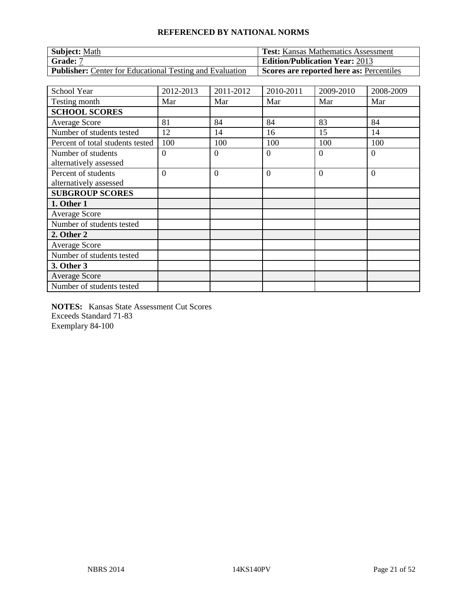| <b>Subject: Math</b>                                            | <b>Test:</b> Kansas Mathematics Assessment |
|-----------------------------------------------------------------|--------------------------------------------|
| Grade: 7                                                        | <b>Edition/Publication Year: 2013</b>      |
| <b>Publisher:</b> Center for Educational Testing and Evaluation | Scores are reported here as: Percentiles   |

| School Year                      | 2012-2013      | 2011-2012      | 2010-2011      | 2009-2010 | 2008-2009      |
|----------------------------------|----------------|----------------|----------------|-----------|----------------|
| Testing month                    | Mar            | Mar            | Mar            | Mar       | Mar            |
| <b>SCHOOL SCORES</b>             |                |                |                |           |                |
| <b>Average Score</b>             | 81             | 84             | 84             | 83        | 84             |
| Number of students tested        | 12             | 14             | 16             | 15        | 14             |
| Percent of total students tested | 100            | 100            | 100            | 100       | 100            |
| Number of students               | $\overline{0}$ | $\theta$       | $\overline{0}$ | $\Omega$  | $\overline{0}$ |
| alternatively assessed           |                |                |                |           |                |
| Percent of students              | $\Omega$       | $\overline{0}$ | $\Omega$       | $\Omega$  | $\overline{0}$ |
| alternatively assessed           |                |                |                |           |                |
| <b>SUBGROUP SCORES</b>           |                |                |                |           |                |
| 1. Other 1                       |                |                |                |           |                |
| Average Score                    |                |                |                |           |                |
| Number of students tested        |                |                |                |           |                |
| 2. Other 2                       |                |                |                |           |                |
| Average Score                    |                |                |                |           |                |
| Number of students tested        |                |                |                |           |                |
| 3. Other 3                       |                |                |                |           |                |
| <b>Average Score</b>             |                |                |                |           |                |
| Number of students tested        |                |                |                |           |                |

**NOTES:** Kansas State Assessment Cut Scores Exceeds Standard 71-83 Exemplary 84-100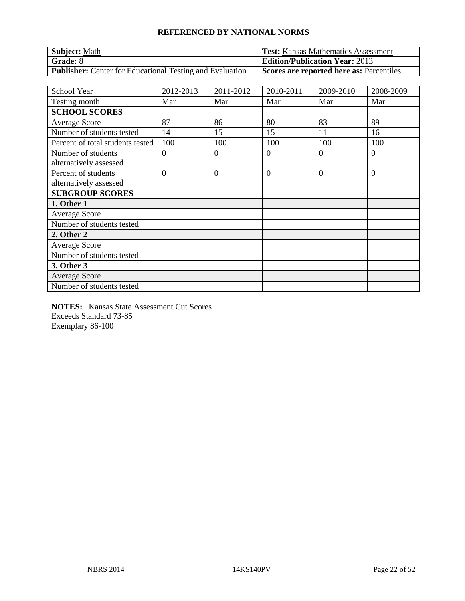| <b>Subject: Math</b>                                            | <b>Test:</b> Kansas Mathematics Assessment |
|-----------------------------------------------------------------|--------------------------------------------|
| <b>Grade: 8</b>                                                 | <b>Edition/Publication Year: 2013</b>      |
| <b>Publisher:</b> Center for Educational Testing and Evaluation | Scores are reported here as: Percentiles   |

| <b>School Year</b>               | 2012-2013      | 2011-2012      | 2010-2011      | 2009-2010 | 2008-2009      |
|----------------------------------|----------------|----------------|----------------|-----------|----------------|
| Testing month                    | Mar            | Mar            | Mar            | Mar       | Mar            |
| <b>SCHOOL SCORES</b>             |                |                |                |           |                |
| <b>Average Score</b>             | 87             | 86             | 80             | 83        | 89             |
| Number of students tested        | 14             | 15             | 15             | 11        | 16             |
| Percent of total students tested | 100            | 100            | 100            | 100       | 100            |
| Number of students               | $\theta$       | $\overline{0}$ | $\overline{0}$ | $\Omega$  | $\overline{0}$ |
| alternatively assessed           |                |                |                |           |                |
| Percent of students              | $\overline{0}$ | $\overline{0}$ | $\overline{0}$ | $\Omega$  | $\overline{0}$ |
| alternatively assessed           |                |                |                |           |                |
| <b>SUBGROUP SCORES</b>           |                |                |                |           |                |
| 1. Other 1                       |                |                |                |           |                |
| <b>Average Score</b>             |                |                |                |           |                |
| Number of students tested        |                |                |                |           |                |
| 2. Other 2                       |                |                |                |           |                |
| Average Score                    |                |                |                |           |                |
| Number of students tested        |                |                |                |           |                |
| 3. Other 3                       |                |                |                |           |                |
| <b>Average Score</b>             |                |                |                |           |                |
| Number of students tested        |                |                |                |           |                |

**NOTES:** Kansas State Assessment Cut Scores Exceeds Standard 73-85 Exemplary 86-100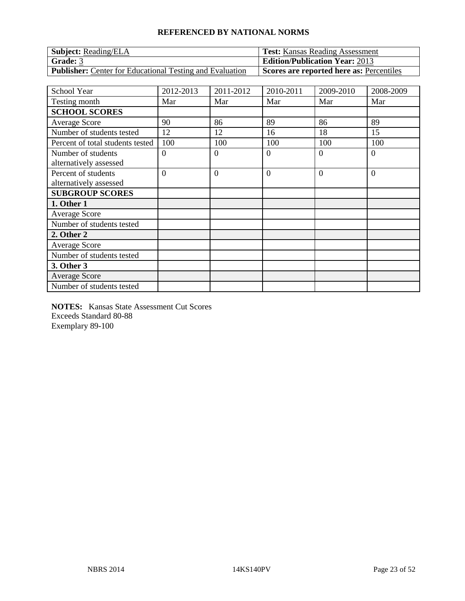| <b>Subject:</b> Reading/ELA                                     | <b>Test:</b> Kansas Reading Assessment   |
|-----------------------------------------------------------------|------------------------------------------|
| Grade: 3                                                        | <b>Edition/Publication Year: 2013</b>    |
| <b>Publisher:</b> Center for Educational Testing and Evaluation | Scores are reported here as: Percentiles |

| School Year                      | 2012-2013      | 2011-2012      | 2010-2011      | 2009-2010 | 2008-2009      |
|----------------------------------|----------------|----------------|----------------|-----------|----------------|
| Testing month                    | Mar            | Mar            | Mar            | Mar       | Mar            |
| <b>SCHOOL SCORES</b>             |                |                |                |           |                |
| <b>Average Score</b>             | 90             | 86             | 89             | 86        | 89             |
| Number of students tested        | 12             | 12             | 16             | 18        | 15             |
| Percent of total students tested | 100            | 100            | 100            | 100       | 100            |
| Number of students               | $\overline{0}$ | $\theta$       | $\overline{0}$ | $\Omega$  | $\overline{0}$ |
| alternatively assessed           |                |                |                |           |                |
| Percent of students              | $\Omega$       | $\overline{0}$ | $\Omega$       | $\Omega$  | $\overline{0}$ |
| alternatively assessed           |                |                |                |           |                |
| <b>SUBGROUP SCORES</b>           |                |                |                |           |                |
| 1. Other 1                       |                |                |                |           |                |
| Average Score                    |                |                |                |           |                |
| Number of students tested        |                |                |                |           |                |
| 2. Other 2                       |                |                |                |           |                |
| Average Score                    |                |                |                |           |                |
| Number of students tested        |                |                |                |           |                |
| 3. Other 3                       |                |                |                |           |                |
| <b>Average Score</b>             |                |                |                |           |                |
| Number of students tested        |                |                |                |           |                |

**NOTES:** Kansas State Assessment Cut Scores Exceeds Standard 80-88 Exemplary 89-100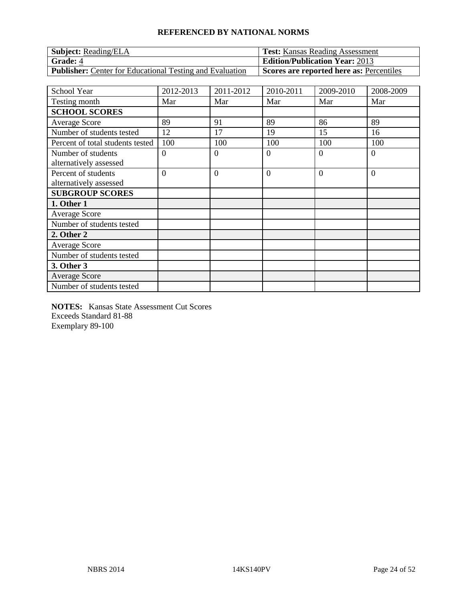| <b>Subject:</b> Reading/ELA                                     | <b>Test:</b> Kansas Reading Assessment   |
|-----------------------------------------------------------------|------------------------------------------|
| <b>Grade: 4</b>                                                 | <b>Edition/Publication Year: 2013</b>    |
| <b>Publisher:</b> Center for Educational Testing and Evaluation | Scores are reported here as: Percentiles |

| School Year                      | 2012-2013      | 2011-2012      | 2010-2011      | 2009-2010 | 2008-2009      |
|----------------------------------|----------------|----------------|----------------|-----------|----------------|
| Testing month                    | Mar            | Mar            | Mar            | Mar       | Mar            |
| <b>SCHOOL SCORES</b>             |                |                |                |           |                |
| <b>Average Score</b>             | 89             | 91             | 89             | 86        | 89             |
| Number of students tested        | 12             | 17             | 19             | 15        | 16             |
| Percent of total students tested | 100            | 100            | 100            | 100       | 100            |
| Number of students               | $\overline{0}$ | $\theta$       | $\overline{0}$ | $\Omega$  | $\overline{0}$ |
| alternatively assessed           |                |                |                |           |                |
| Percent of students              | $\Omega$       | $\overline{0}$ | $\Omega$       | $\Omega$  | $\overline{0}$ |
| alternatively assessed           |                |                |                |           |                |
| <b>SUBGROUP SCORES</b>           |                |                |                |           |                |
| 1. Other 1                       |                |                |                |           |                |
| Average Score                    |                |                |                |           |                |
| Number of students tested        |                |                |                |           |                |
| 2. Other 2                       |                |                |                |           |                |
| Average Score                    |                |                |                |           |                |
| Number of students tested        |                |                |                |           |                |
| 3. Other 3                       |                |                |                |           |                |
| <b>Average Score</b>             |                |                |                |           |                |
| Number of students tested        |                |                |                |           |                |

**NOTES:** Kansas State Assessment Cut Scores Exceeds Standard 81-88 Exemplary 89-100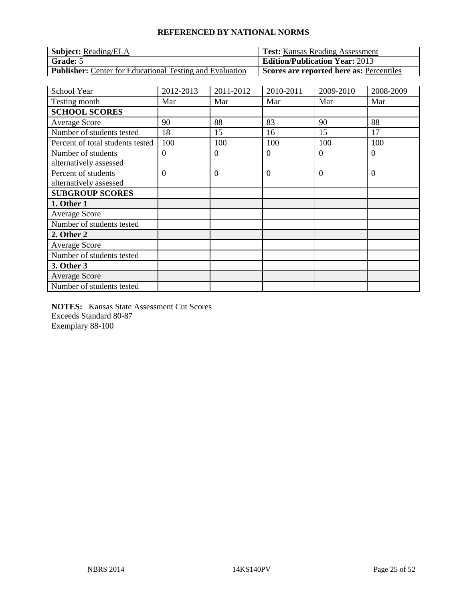| <b>Subject:</b> Reading/ELA                                     | <b>Test:</b> Kansas Reading Assessment   |
|-----------------------------------------------------------------|------------------------------------------|
| Grade: 5                                                        | <b>Edition/Publication Year: 2013</b>    |
| <b>Publisher:</b> Center for Educational Testing and Evaluation | Scores are reported here as: Percentiles |

| School Year                      | 2012-2013      | 2011-2012      | 2010-2011      | 2009-2010 | 2008-2009      |
|----------------------------------|----------------|----------------|----------------|-----------|----------------|
| Testing month                    | Mar            | Mar            | Mar            | Mar       | Mar            |
| <b>SCHOOL SCORES</b>             |                |                |                |           |                |
| <b>Average Score</b>             | 90             | 88             | 83             | 90        | 88             |
| Number of students tested        | 18             | 15             | 16             | 15        | 17             |
| Percent of total students tested | 100            | 100            | 100            | 100       | 100            |
| Number of students               | $\overline{0}$ | $\theta$       | $\overline{0}$ | 0         | $\overline{0}$ |
| alternatively assessed           |                |                |                |           |                |
| Percent of students              | $\Omega$       | $\overline{0}$ | $\Omega$       | $\Omega$  | $\overline{0}$ |
| alternatively assessed           |                |                |                |           |                |
| <b>SUBGROUP SCORES</b>           |                |                |                |           |                |
| 1. Other 1                       |                |                |                |           |                |
| Average Score                    |                |                |                |           |                |
| Number of students tested        |                |                |                |           |                |
| 2. Other 2                       |                |                |                |           |                |
| Average Score                    |                |                |                |           |                |
| Number of students tested        |                |                |                |           |                |
| 3. Other 3                       |                |                |                |           |                |
| <b>Average Score</b>             |                |                |                |           |                |
| Number of students tested        |                |                |                |           |                |

**NOTES:** Kansas State Assessment Cut Scores Exceeds Standard 80-87 Exemplary 88-100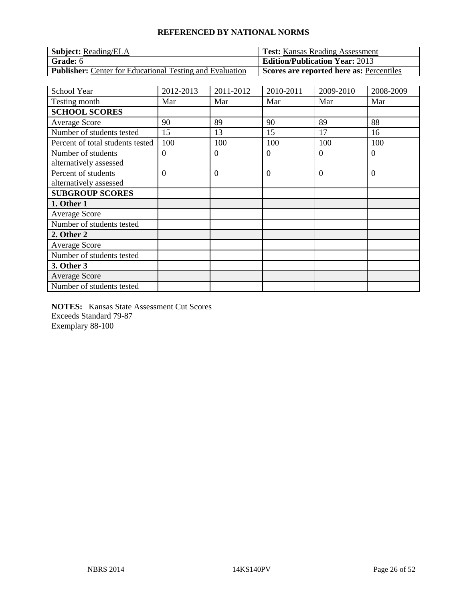| <b>Subject:</b> Reading/ELA                                     | <b>Test:</b> Kansas Reading Assessment   |
|-----------------------------------------------------------------|------------------------------------------|
| <b>Grade:</b> 6                                                 | <b>Edition/Publication Year: 2013</b>    |
| <b>Publisher:</b> Center for Educational Testing and Evaluation | Scores are reported here as: Percentiles |

| School Year                      | 2012-2013      | 2011-2012      | 2010-2011      | 2009-2010 | 2008-2009      |
|----------------------------------|----------------|----------------|----------------|-----------|----------------|
| Testing month                    | Mar            | Mar            | Mar            | Mar       | Mar            |
| <b>SCHOOL SCORES</b>             |                |                |                |           |                |
| <b>Average Score</b>             | 90             | 89             | 90             | 89        | 88             |
| Number of students tested        | 15             | 13             | 15             | 17        | 16             |
| Percent of total students tested | 100            | 100            | 100            | 100       | 100            |
| Number of students               | $\overline{0}$ | $\theta$       | $\overline{0}$ | 0         | $\overline{0}$ |
| alternatively assessed           |                |                |                |           |                |
| Percent of students              | $\Omega$       | $\overline{0}$ | $\Omega$       | $\Omega$  | $\overline{0}$ |
| alternatively assessed           |                |                |                |           |                |
| <b>SUBGROUP SCORES</b>           |                |                |                |           |                |
| 1. Other 1                       |                |                |                |           |                |
| Average Score                    |                |                |                |           |                |
| Number of students tested        |                |                |                |           |                |
| 2. Other 2                       |                |                |                |           |                |
| Average Score                    |                |                |                |           |                |
| Number of students tested        |                |                |                |           |                |
| 3. Other 3                       |                |                |                |           |                |
| <b>Average Score</b>             |                |                |                |           |                |
| Number of students tested        |                |                |                |           |                |

**NOTES:** Kansas State Assessment Cut Scores Exceeds Standard 79-87 Exemplary 88-100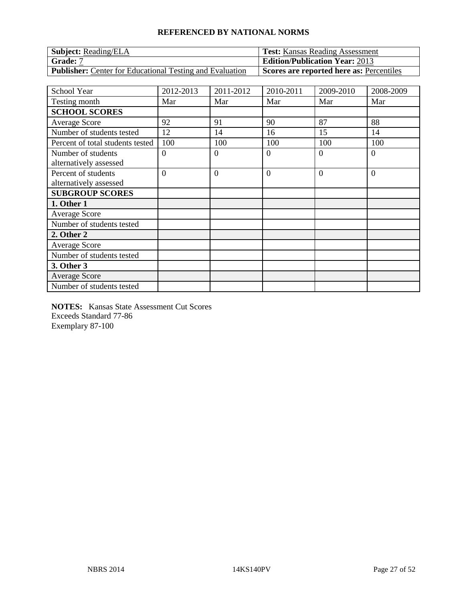| <b>Subject:</b> Reading/ELA                                     | <b>Test:</b> Kansas Reading Assessment   |
|-----------------------------------------------------------------|------------------------------------------|
| <b>Grade: 7</b>                                                 | <b>Edition/Publication Year: 2013</b>    |
| <b>Publisher:</b> Center for Educational Testing and Evaluation | Scores are reported here as: Percentiles |

| School Year                      | 2012-2013      | 2011-2012      | 2010-2011      | 2009-2010 | 2008-2009      |
|----------------------------------|----------------|----------------|----------------|-----------|----------------|
| Testing month                    | Mar            | Mar            | Mar            | Mar       | Mar            |
| <b>SCHOOL SCORES</b>             |                |                |                |           |                |
| Average Score                    | 92             | 91             | 90             | 87        | 88             |
| Number of students tested        | 12             | 14             | 16             | 15        | 14             |
| Percent of total students tested | 100            | 100            | 100            | 100       | 100            |
| Number of students               | $\overline{0}$ | $\theta$       | $\theta$       | $\Omega$  | $\theta$       |
| alternatively assessed           |                |                |                |           |                |
| Percent of students              | $\overline{0}$ | $\overline{0}$ | $\overline{0}$ | $\Omega$  | $\overline{0}$ |
| alternatively assessed           |                |                |                |           |                |
| <b>SUBGROUP SCORES</b>           |                |                |                |           |                |
| 1. Other 1                       |                |                |                |           |                |
| Average Score                    |                |                |                |           |                |
| Number of students tested        |                |                |                |           |                |
| 2. Other 2                       |                |                |                |           |                |
| Average Score                    |                |                |                |           |                |
| Number of students tested        |                |                |                |           |                |
| 3. Other 3                       |                |                |                |           |                |
| <b>Average Score</b>             |                |                |                |           |                |
| Number of students tested        |                |                |                |           |                |

**NOTES:** Kansas State Assessment Cut Scores Exceeds Standard 77-86 Exemplary 87-100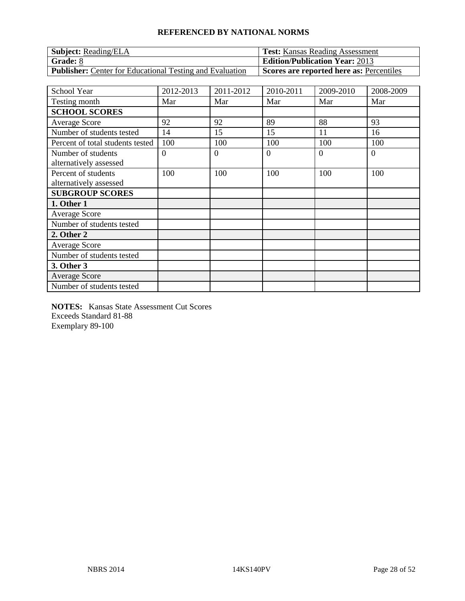| <b>Subject:</b> Reading/ELA                                     | <b>Test:</b> Kansas Reading Assessment   |
|-----------------------------------------------------------------|------------------------------------------|
| Grade: 8                                                        | <b>Edition/Publication Year: 2013</b>    |
| <b>Publisher:</b> Center for Educational Testing and Evaluation | Scores are reported here as: Percentiles |

| School Year                                   | 2012-2013      | 2011-2012 | 2010-2011 | 2009-2010 | 2008-2009      |
|-----------------------------------------------|----------------|-----------|-----------|-----------|----------------|
| Testing month                                 | Mar            | Mar       | Mar       | Mar       | Mar            |
| <b>SCHOOL SCORES</b>                          |                |           |           |           |                |
| Average Score                                 | 92             | 92        | 89        | 88        | 93             |
| Number of students tested                     | 14             | 15        | 15        | 11        | 16             |
| Percent of total students tested              | 100            | 100       | 100       | 100       | 100            |
| Number of students                            | $\overline{0}$ | $\theta$  | $\theta$  | $\Omega$  | $\overline{0}$ |
| alternatively assessed                        |                |           |           |           |                |
| Percent of students<br>alternatively assessed | 100            | 100       | 100       | 100       | 100            |
| <b>SUBGROUP SCORES</b>                        |                |           |           |           |                |
| 1. Other 1                                    |                |           |           |           |                |
| Average Score                                 |                |           |           |           |                |
| Number of students tested                     |                |           |           |           |                |
| 2. Other 2                                    |                |           |           |           |                |
| <b>Average Score</b>                          |                |           |           |           |                |
| Number of students tested                     |                |           |           |           |                |
| 3. Other 3                                    |                |           |           |           |                |
| <b>Average Score</b>                          |                |           |           |           |                |
| Number of students tested                     |                |           |           |           |                |

**NOTES:** Kansas State Assessment Cut Scores Exceeds Standard 81-88 Exemplary 89-100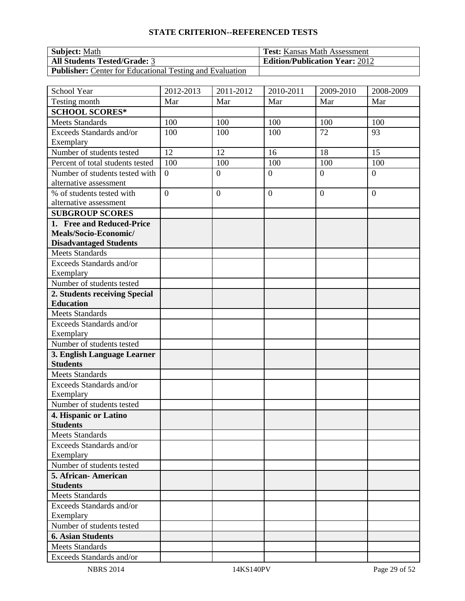| <b>Subject:</b> Math                                            | <b>Test:</b> Kansas Math Assessment   |
|-----------------------------------------------------------------|---------------------------------------|
| <b>All Students Tested/Grade: 3</b>                             | <b>Edition/Publication Year: 2012</b> |
| <b>Publisher:</b> Center for Educational Testing and Evaluation |                                       |

| School Year                                            | 2012-2013        | 2011-2012      | 2010-2011        | 2009-2010        | 2008-2009      |
|--------------------------------------------------------|------------------|----------------|------------------|------------------|----------------|
| Testing month                                          | Mar              | Mar            | Mar              | Mar              | Mar            |
| <b>SCHOOL SCORES*</b>                                  |                  |                |                  |                  |                |
| <b>Meets Standards</b>                                 | 100              | 100            | 100              | 100              | 100            |
| Exceeds Standards and/or                               | 100              | 100            | 100              | 72               | 93             |
| Exemplary                                              |                  |                |                  |                  |                |
| Number of students tested                              | 12               | 12             | 16               | 18               | 15             |
| Percent of total students tested                       | 100              | 100            | 100              | 100              | 100            |
| Number of students tested with                         | $\overline{0}$   | $\overline{0}$ | $\overline{0}$   | $\overline{0}$   | $\overline{0}$ |
| alternative assessment                                 |                  |                |                  |                  |                |
| % of students tested with                              | $\boldsymbol{0}$ | $\overline{0}$ | $\boldsymbol{0}$ | $\boldsymbol{0}$ | $\overline{0}$ |
| alternative assessment                                 |                  |                |                  |                  |                |
| <b>SUBGROUP SCORES</b>                                 |                  |                |                  |                  |                |
| 1. Free and Reduced-Price                              |                  |                |                  |                  |                |
| Meals/Socio-Economic/<br><b>Disadvantaged Students</b> |                  |                |                  |                  |                |
| <b>Meets Standards</b>                                 |                  |                |                  |                  |                |
| Exceeds Standards and/or                               |                  |                |                  |                  |                |
| Exemplary                                              |                  |                |                  |                  |                |
| Number of students tested                              |                  |                |                  |                  |                |
| 2. Students receiving Special                          |                  |                |                  |                  |                |
| <b>Education</b>                                       |                  |                |                  |                  |                |
| <b>Meets Standards</b>                                 |                  |                |                  |                  |                |
| Exceeds Standards and/or                               |                  |                |                  |                  |                |
| Exemplary                                              |                  |                |                  |                  |                |
| Number of students tested                              |                  |                |                  |                  |                |
| 3. English Language Learner                            |                  |                |                  |                  |                |
| <b>Students</b>                                        |                  |                |                  |                  |                |
| <b>Meets Standards</b>                                 |                  |                |                  |                  |                |
| Exceeds Standards and/or                               |                  |                |                  |                  |                |
| Exemplary                                              |                  |                |                  |                  |                |
| Number of students tested                              |                  |                |                  |                  |                |
| 4. Hispanic or Latino                                  |                  |                |                  |                  |                |
| <b>Students</b>                                        |                  |                |                  |                  |                |
| <b>Meets Standards</b>                                 |                  |                |                  |                  |                |
| Exceeds Standards and/or                               |                  |                |                  |                  |                |
| Exemplary<br>Number of students tested                 |                  |                |                  |                  |                |
| 5. African-American                                    |                  |                |                  |                  |                |
| <b>Students</b>                                        |                  |                |                  |                  |                |
| Meets Standards                                        |                  |                |                  |                  |                |
| Exceeds Standards and/or                               |                  |                |                  |                  |                |
| Exemplary                                              |                  |                |                  |                  |                |
| Number of students tested                              |                  |                |                  |                  |                |
| <b>6. Asian Students</b>                               |                  |                |                  |                  |                |
| <b>Meets Standards</b>                                 |                  |                |                  |                  |                |
|                                                        |                  |                |                  |                  |                |
| Exceeds Standards and/or                               |                  |                |                  |                  |                |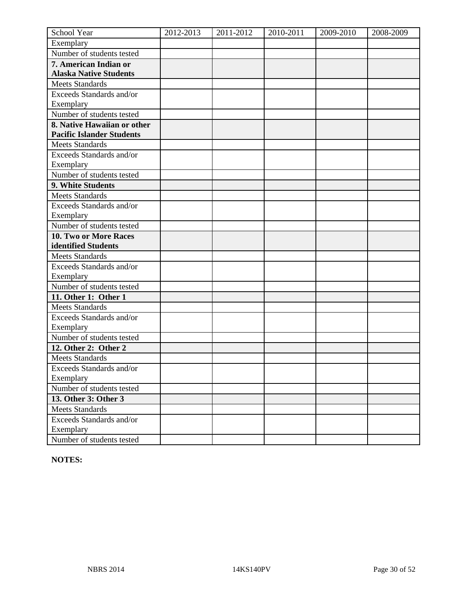| School Year                            | 2012-2013 | 2011-2012 | 2010-2011 | 2009-2010 | 2008-2009 |
|----------------------------------------|-----------|-----------|-----------|-----------|-----------|
| Exemplary                              |           |           |           |           |           |
| Number of students tested              |           |           |           |           |           |
| 7. American Indian or                  |           |           |           |           |           |
| <b>Alaska Native Students</b>          |           |           |           |           |           |
| <b>Meets Standards</b>                 |           |           |           |           |           |
| Exceeds Standards and/or               |           |           |           |           |           |
| Exemplary                              |           |           |           |           |           |
| Number of students tested              |           |           |           |           |           |
| 8. Native Hawaiian or other            |           |           |           |           |           |
| <b>Pacific Islander Students</b>       |           |           |           |           |           |
| <b>Meets Standards</b>                 |           |           |           |           |           |
| Exceeds Standards and/or               |           |           |           |           |           |
| Exemplary                              |           |           |           |           |           |
| Number of students tested              |           |           |           |           |           |
| 9. White Students                      |           |           |           |           |           |
| <b>Meets Standards</b>                 |           |           |           |           |           |
| Exceeds Standards and/or               |           |           |           |           |           |
| Exemplary                              |           |           |           |           |           |
| Number of students tested              |           |           |           |           |           |
| 10. Two or More Races                  |           |           |           |           |           |
| identified Students                    |           |           |           |           |           |
| <b>Meets Standards</b>                 |           |           |           |           |           |
| Exceeds Standards and/or               |           |           |           |           |           |
| Exemplary                              |           |           |           |           |           |
| Number of students tested              |           |           |           |           |           |
| 11. Other 1: Other 1                   |           |           |           |           |           |
| <b>Meets Standards</b>                 |           |           |           |           |           |
| Exceeds Standards and/or               |           |           |           |           |           |
| Exemplary                              |           |           |           |           |           |
| Number of students tested              |           |           |           |           |           |
| 12. Other 2: Other 2                   |           |           |           |           |           |
| <b>Meets Standards</b>                 |           |           |           |           |           |
| <b>Exceeds Standards and/or</b>        |           |           |           |           |           |
| Exemplary<br>Number of students tested |           |           |           |           |           |
|                                        |           |           |           |           |           |
| 13. Other 3: Other 3                   |           |           |           |           |           |
| <b>Meets Standards</b>                 |           |           |           |           |           |
| Exceeds Standards and/or               |           |           |           |           |           |
| Exemplary<br>Number of students tested |           |           |           |           |           |
|                                        |           |           |           |           |           |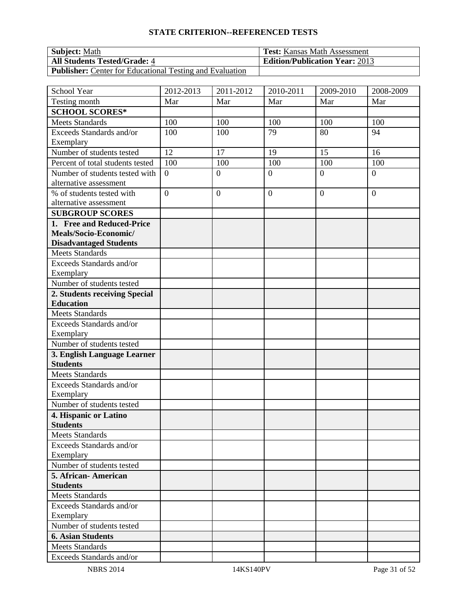| <b>Subject:</b> Math                                            | <b>Test:</b> Kansas Math Assessment   |
|-----------------------------------------------------------------|---------------------------------------|
| <b>All Students Tested/Grade: 4</b>                             | <b>Edition/Publication Year: 2013</b> |
| <b>Publisher:</b> Center for Educational Testing and Evaluation |                                       |

| School Year                                    | 2012-2013        | 2011-2012      | 2010-2011        | 2009-2010        | 2008-2009      |
|------------------------------------------------|------------------|----------------|------------------|------------------|----------------|
| Testing month                                  | Mar              | Mar            | Mar              | Mar              | Mar            |
| <b>SCHOOL SCORES*</b>                          |                  |                |                  |                  |                |
| <b>Meets Standards</b>                         | 100              | 100            | 100              | 100              | 100            |
| Exceeds Standards and/or                       | 100              | 100            | 79               | 80               | 94             |
| Exemplary                                      |                  |                |                  |                  |                |
| Number of students tested                      | 12               | 17             | 19               | 15               | 16             |
| Percent of total students tested               | 100              | 100            | 100              | 100              | 100            |
| Number of students tested with                 | $\overline{0}$   | $\overline{0}$ | $\overline{0}$   | $\overline{0}$   | $\overline{0}$ |
| alternative assessment                         |                  |                |                  |                  |                |
| % of students tested with                      | $\boldsymbol{0}$ | $\overline{0}$ | $\boldsymbol{0}$ | $\boldsymbol{0}$ | $\overline{0}$ |
| alternative assessment                         |                  |                |                  |                  |                |
| <b>SUBGROUP SCORES</b>                         |                  |                |                  |                  |                |
| 1. Free and Reduced-Price                      |                  |                |                  |                  |                |
| Meals/Socio-Economic/                          |                  |                |                  |                  |                |
| <b>Disadvantaged Students</b>                  |                  |                |                  |                  |                |
| <b>Meets Standards</b>                         |                  |                |                  |                  |                |
| Exceeds Standards and/or                       |                  |                |                  |                  |                |
| Exemplary                                      |                  |                |                  |                  |                |
| Number of students tested                      |                  |                |                  |                  |                |
| 2. Students receiving Special                  |                  |                |                  |                  |                |
| <b>Education</b>                               |                  |                |                  |                  |                |
| <b>Meets Standards</b>                         |                  |                |                  |                  |                |
| Exceeds Standards and/or                       |                  |                |                  |                  |                |
| Exemplary                                      |                  |                |                  |                  |                |
| Number of students tested                      |                  |                |                  |                  |                |
| 3. English Language Learner<br><b>Students</b> |                  |                |                  |                  |                |
| <b>Meets Standards</b>                         |                  |                |                  |                  |                |
| Exceeds Standards and/or                       |                  |                |                  |                  |                |
| Exemplary                                      |                  |                |                  |                  |                |
| Number of students tested                      |                  |                |                  |                  |                |
| 4. Hispanic or Latino                          |                  |                |                  |                  |                |
| <b>Students</b>                                |                  |                |                  |                  |                |
| <b>Meets Standards</b>                         |                  |                |                  |                  |                |
| Exceeds Standards and/or                       |                  |                |                  |                  |                |
| Exemplary                                      |                  |                |                  |                  |                |
| Number of students tested                      |                  |                |                  |                  |                |
| 5. African-American                            |                  |                |                  |                  |                |
| <b>Students</b>                                |                  |                |                  |                  |                |
| <b>Meets Standards</b>                         |                  |                |                  |                  |                |
| Exceeds Standards and/or                       |                  |                |                  |                  |                |
| Exemplary                                      |                  |                |                  |                  |                |
| Number of students tested                      |                  |                |                  |                  |                |
| <b>6. Asian Students</b>                       |                  |                |                  |                  |                |
| <b>Meets Standards</b>                         |                  |                |                  |                  |                |
| Exceeds Standards and/or                       |                  |                |                  |                  |                |
| <b>NBRS 2014</b>                               |                  | 14KS140PV      |                  |                  | Page 31 of 52  |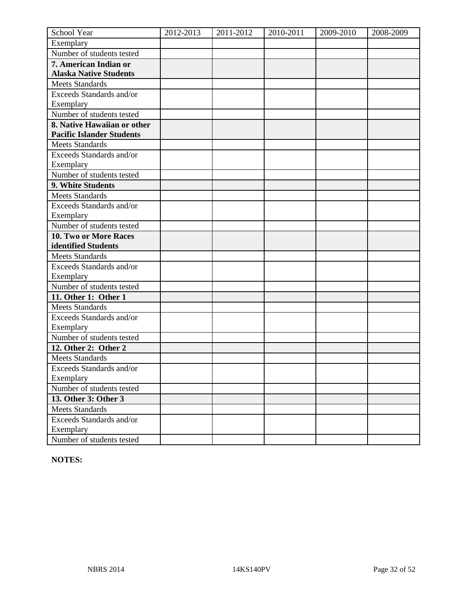| School Year                            | 2012-2013 | 2011-2012 | 2010-2011 | 2009-2010 | 2008-2009 |
|----------------------------------------|-----------|-----------|-----------|-----------|-----------|
| Exemplary                              |           |           |           |           |           |
| Number of students tested              |           |           |           |           |           |
| 7. American Indian or                  |           |           |           |           |           |
| <b>Alaska Native Students</b>          |           |           |           |           |           |
| <b>Meets Standards</b>                 |           |           |           |           |           |
| Exceeds Standards and/or               |           |           |           |           |           |
| Exemplary                              |           |           |           |           |           |
| Number of students tested              |           |           |           |           |           |
| 8. Native Hawaiian or other            |           |           |           |           |           |
| <b>Pacific Islander Students</b>       |           |           |           |           |           |
| <b>Meets Standards</b>                 |           |           |           |           |           |
| Exceeds Standards and/or               |           |           |           |           |           |
| Exemplary                              |           |           |           |           |           |
| Number of students tested              |           |           |           |           |           |
| 9. White Students                      |           |           |           |           |           |
| <b>Meets Standards</b>                 |           |           |           |           |           |
| Exceeds Standards and/or               |           |           |           |           |           |
| Exemplary                              |           |           |           |           |           |
| Number of students tested              |           |           |           |           |           |
| 10. Two or More Races                  |           |           |           |           |           |
| identified Students                    |           |           |           |           |           |
| <b>Meets Standards</b>                 |           |           |           |           |           |
| Exceeds Standards and/or               |           |           |           |           |           |
| Exemplary                              |           |           |           |           |           |
| Number of students tested              |           |           |           |           |           |
| 11. Other 1: Other 1                   |           |           |           |           |           |
| <b>Meets Standards</b>                 |           |           |           |           |           |
| Exceeds Standards and/or               |           |           |           |           |           |
| Exemplary                              |           |           |           |           |           |
| Number of students tested              |           |           |           |           |           |
| 12. Other 2: Other 2                   |           |           |           |           |           |
| <b>Meets Standards</b>                 |           |           |           |           |           |
| <b>Exceeds Standards and/or</b>        |           |           |           |           |           |
| Exemplary<br>Number of students tested |           |           |           |           |           |
|                                        |           |           |           |           |           |
| 13. Other 3: Other 3                   |           |           |           |           |           |
| <b>Meets Standards</b>                 |           |           |           |           |           |
| Exceeds Standards and/or               |           |           |           |           |           |
| Exemplary<br>Number of students tested |           |           |           |           |           |
|                                        |           |           |           |           |           |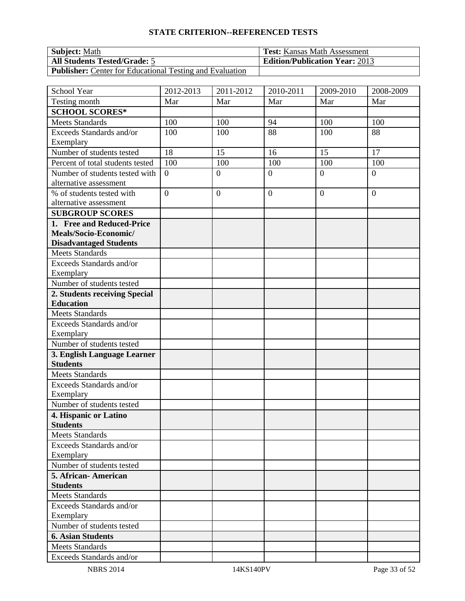| <b>Subject:</b> Math                                            | <b>Test:</b> Kansas Math Assessment   |
|-----------------------------------------------------------------|---------------------------------------|
| <b>All Students Tested/Grade: 5</b>                             | <b>Edition/Publication Year: 2013</b> |
| <b>Publisher:</b> Center for Educational Testing and Evaluation |                                       |

| School Year                                       | 2012-2013        | 2011-2012      | 2010-2011        | 2009-2010        | 2008-2009      |
|---------------------------------------------------|------------------|----------------|------------------|------------------|----------------|
| Testing month                                     | Mar              | Mar            | Mar              | Mar              | Mar            |
| <b>SCHOOL SCORES*</b>                             |                  |                |                  |                  |                |
| <b>Meets Standards</b>                            | 100              | 100            | 94               | 100              | 100            |
| Exceeds Standards and/or                          | 100              | 100            | 88               | 100              | 88             |
| Exemplary                                         |                  |                |                  |                  |                |
| Number of students tested                         | 18               | 15             | 16               | 15               | 17             |
| Percent of total students tested                  | 100              | 100            | 100              | 100              | 100            |
| Number of students tested with                    | $\overline{0}$   | $\overline{0}$ | $\overline{0}$   | $\overline{0}$   | $\overline{0}$ |
| alternative assessment                            |                  |                |                  |                  |                |
| % of students tested with                         | $\boldsymbol{0}$ | $\overline{0}$ | $\boldsymbol{0}$ | $\boldsymbol{0}$ | $\overline{0}$ |
| alternative assessment                            |                  |                |                  |                  |                |
| <b>SUBGROUP SCORES</b>                            |                  |                |                  |                  |                |
| 1. Free and Reduced-Price                         |                  |                |                  |                  |                |
| Meals/Socio-Economic/                             |                  |                |                  |                  |                |
| <b>Disadvantaged Students</b>                     |                  |                |                  |                  |                |
| <b>Meets Standards</b>                            |                  |                |                  |                  |                |
| Exceeds Standards and/or                          |                  |                |                  |                  |                |
| Exemplary<br>Number of students tested            |                  |                |                  |                  |                |
|                                                   |                  |                |                  |                  |                |
| 2. Students receiving Special<br><b>Education</b> |                  |                |                  |                  |                |
| <b>Meets Standards</b>                            |                  |                |                  |                  |                |
| Exceeds Standards and/or                          |                  |                |                  |                  |                |
| Exemplary                                         |                  |                |                  |                  |                |
| Number of students tested                         |                  |                |                  |                  |                |
| 3. English Language Learner                       |                  |                |                  |                  |                |
| <b>Students</b>                                   |                  |                |                  |                  |                |
| <b>Meets Standards</b>                            |                  |                |                  |                  |                |
| Exceeds Standards and/or                          |                  |                |                  |                  |                |
| Exemplary                                         |                  |                |                  |                  |                |
| Number of students tested                         |                  |                |                  |                  |                |
| 4. Hispanic or Latino                             |                  |                |                  |                  |                |
| <b>Students</b>                                   |                  |                |                  |                  |                |
| <b>Meets Standards</b>                            |                  |                |                  |                  |                |
| Exceeds Standards and/or                          |                  |                |                  |                  |                |
| Exemplary                                         |                  |                |                  |                  |                |
| Number of students tested                         |                  |                |                  |                  |                |
| 5. African-American                               |                  |                |                  |                  |                |
| <b>Students</b>                                   |                  |                |                  |                  |                |
| Meets Standards                                   |                  |                |                  |                  |                |
| Exceeds Standards and/or                          |                  |                |                  |                  |                |
| Exemplary                                         |                  |                |                  |                  |                |
| Number of students tested                         |                  |                |                  |                  |                |
| <b>6. Asian Students</b>                          |                  |                |                  |                  |                |
| <b>Meets Standards</b>                            |                  |                |                  |                  |                |
| Exceeds Standards and/or                          |                  |                |                  |                  |                |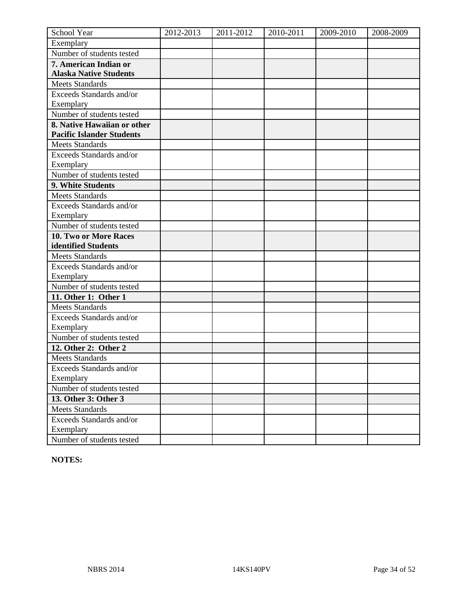| School Year                            | 2012-2013 | 2011-2012 | 2010-2011 | 2009-2010 | 2008-2009 |
|----------------------------------------|-----------|-----------|-----------|-----------|-----------|
| Exemplary                              |           |           |           |           |           |
| Number of students tested              |           |           |           |           |           |
| 7. American Indian or                  |           |           |           |           |           |
| <b>Alaska Native Students</b>          |           |           |           |           |           |
| <b>Meets Standards</b>                 |           |           |           |           |           |
| Exceeds Standards and/or               |           |           |           |           |           |
| Exemplary                              |           |           |           |           |           |
| Number of students tested              |           |           |           |           |           |
| 8. Native Hawaiian or other            |           |           |           |           |           |
| <b>Pacific Islander Students</b>       |           |           |           |           |           |
| <b>Meets Standards</b>                 |           |           |           |           |           |
| Exceeds Standards and/or               |           |           |           |           |           |
| Exemplary                              |           |           |           |           |           |
| Number of students tested              |           |           |           |           |           |
| 9. White Students                      |           |           |           |           |           |
| <b>Meets Standards</b>                 |           |           |           |           |           |
| Exceeds Standards and/or               |           |           |           |           |           |
| Exemplary                              |           |           |           |           |           |
| Number of students tested              |           |           |           |           |           |
| 10. Two or More Races                  |           |           |           |           |           |
| identified Students                    |           |           |           |           |           |
| <b>Meets Standards</b>                 |           |           |           |           |           |
| Exceeds Standards and/or               |           |           |           |           |           |
| Exemplary                              |           |           |           |           |           |
| Number of students tested              |           |           |           |           |           |
| 11. Other 1: Other 1                   |           |           |           |           |           |
| <b>Meets Standards</b>                 |           |           |           |           |           |
| Exceeds Standards and/or               |           |           |           |           |           |
| Exemplary                              |           |           |           |           |           |
| Number of students tested              |           |           |           |           |           |
| 12. Other 2: Other 2                   |           |           |           |           |           |
| <b>Meets Standards</b>                 |           |           |           |           |           |
| <b>Exceeds Standards and/or</b>        |           |           |           |           |           |
| Exemplary<br>Number of students tested |           |           |           |           |           |
|                                        |           |           |           |           |           |
| 13. Other 3: Other 3                   |           |           |           |           |           |
| <b>Meets Standards</b>                 |           |           |           |           |           |
| Exceeds Standards and/or               |           |           |           |           |           |
| Exemplary<br>Number of students tested |           |           |           |           |           |
|                                        |           |           |           |           |           |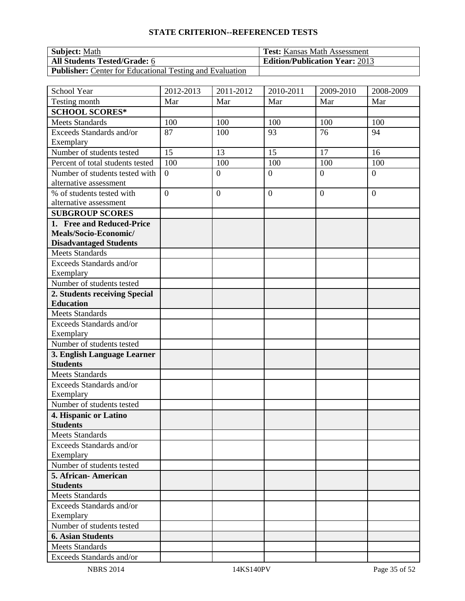| <b>Subject:</b> Math                                            | <b>Test:</b> Kansas Math Assessment   |
|-----------------------------------------------------------------|---------------------------------------|
| <b>All Students Tested/Grade: 6</b>                             | <b>Edition/Publication Year: 2013</b> |
| <b>Publisher:</b> Center for Educational Testing and Evaluation |                                       |

| School Year                                             | 2012-2013        | 2011-2012      | 2010-2011        | 2009-2010        | 2008-2009      |
|---------------------------------------------------------|------------------|----------------|------------------|------------------|----------------|
| Testing month                                           | Mar              | Mar            | Mar              | Mar              | Mar            |
| <b>SCHOOL SCORES*</b>                                   |                  |                |                  |                  |                |
| <b>Meets Standards</b>                                  | 100              | 100            | 100              | 100              | 100            |
| Exceeds Standards and/or                                | 87               | 100            | 93               | 76               | 94             |
| Exemplary                                               |                  |                |                  |                  |                |
| Number of students tested                               | 15               | 13             | 15               | 17               | 16             |
| Percent of total students tested                        | 100              | 100            | 100              | 100              | 100            |
| Number of students tested with                          | $\overline{0}$   | $\overline{0}$ | $\overline{0}$   | $\overline{0}$   | $\overline{0}$ |
| alternative assessment                                  |                  |                |                  |                  |                |
| % of students tested with                               | $\boldsymbol{0}$ | $\overline{0}$ | $\boldsymbol{0}$ | $\boldsymbol{0}$ | $\overline{0}$ |
| alternative assessment                                  |                  |                |                  |                  |                |
| <b>SUBGROUP SCORES</b>                                  |                  |                |                  |                  |                |
| 1. Free and Reduced-Price                               |                  |                |                  |                  |                |
| Meals/Socio-Economic/                                   |                  |                |                  |                  |                |
| <b>Disadvantaged Students</b><br><b>Meets Standards</b> |                  |                |                  |                  |                |
| Exceeds Standards and/or                                |                  |                |                  |                  |                |
| Exemplary                                               |                  |                |                  |                  |                |
| Number of students tested                               |                  |                |                  |                  |                |
| 2. Students receiving Special                           |                  |                |                  |                  |                |
| <b>Education</b>                                        |                  |                |                  |                  |                |
| <b>Meets Standards</b>                                  |                  |                |                  |                  |                |
| Exceeds Standards and/or                                |                  |                |                  |                  |                |
| Exemplary                                               |                  |                |                  |                  |                |
| Number of students tested                               |                  |                |                  |                  |                |
| 3. English Language Learner                             |                  |                |                  |                  |                |
| <b>Students</b>                                         |                  |                |                  |                  |                |
| <b>Meets Standards</b>                                  |                  |                |                  |                  |                |
| Exceeds Standards and/or                                |                  |                |                  |                  |                |
| Exemplary                                               |                  |                |                  |                  |                |
| Number of students tested                               |                  |                |                  |                  |                |
| 4. Hispanic or Latino                                   |                  |                |                  |                  |                |
| <b>Students</b>                                         |                  |                |                  |                  |                |
| <b>Meets Standards</b>                                  |                  |                |                  |                  |                |
| Exceeds Standards and/or                                |                  |                |                  |                  |                |
| Exemplary                                               |                  |                |                  |                  |                |
| Number of students tested                               |                  |                |                  |                  |                |
| 5. African-American<br><b>Students</b>                  |                  |                |                  |                  |                |
| Meets Standards                                         |                  |                |                  |                  |                |
| Exceeds Standards and/or                                |                  |                |                  |                  |                |
| Exemplary                                               |                  |                |                  |                  |                |
| Number of students tested                               |                  |                |                  |                  |                |
| <b>6. Asian Students</b>                                |                  |                |                  |                  |                |
| <b>Meets Standards</b>                                  |                  |                |                  |                  |                |
| Exceeds Standards and/or                                |                  |                |                  |                  |                |
|                                                         |                  |                |                  |                  |                |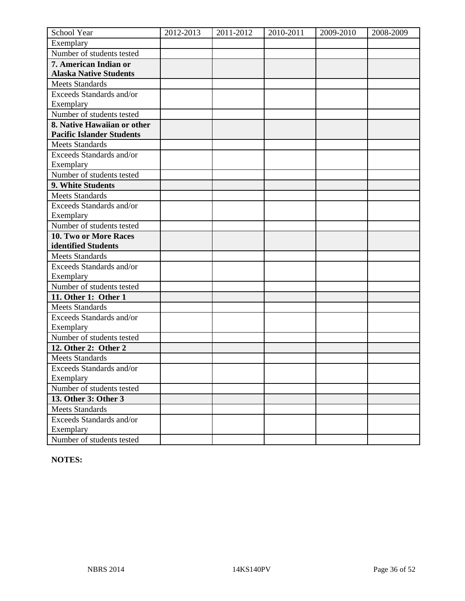| School Year                            | 2012-2013 | 2011-2012 | 2010-2011 | 2009-2010 | 2008-2009 |
|----------------------------------------|-----------|-----------|-----------|-----------|-----------|
| Exemplary                              |           |           |           |           |           |
| Number of students tested              |           |           |           |           |           |
| 7. American Indian or                  |           |           |           |           |           |
| <b>Alaska Native Students</b>          |           |           |           |           |           |
| <b>Meets Standards</b>                 |           |           |           |           |           |
| Exceeds Standards and/or               |           |           |           |           |           |
| Exemplary                              |           |           |           |           |           |
| Number of students tested              |           |           |           |           |           |
| 8. Native Hawaiian or other            |           |           |           |           |           |
| <b>Pacific Islander Students</b>       |           |           |           |           |           |
| <b>Meets Standards</b>                 |           |           |           |           |           |
| Exceeds Standards and/or               |           |           |           |           |           |
| Exemplary                              |           |           |           |           |           |
| Number of students tested              |           |           |           |           |           |
| 9. White Students                      |           |           |           |           |           |
| <b>Meets Standards</b>                 |           |           |           |           |           |
| Exceeds Standards and/or               |           |           |           |           |           |
| Exemplary                              |           |           |           |           |           |
| Number of students tested              |           |           |           |           |           |
| 10. Two or More Races                  |           |           |           |           |           |
| identified Students                    |           |           |           |           |           |
| <b>Meets Standards</b>                 |           |           |           |           |           |
| Exceeds Standards and/or               |           |           |           |           |           |
| Exemplary                              |           |           |           |           |           |
| Number of students tested              |           |           |           |           |           |
| 11. Other 1: Other 1                   |           |           |           |           |           |
| <b>Meets Standards</b>                 |           |           |           |           |           |
| Exceeds Standards and/or               |           |           |           |           |           |
| Exemplary                              |           |           |           |           |           |
| Number of students tested              |           |           |           |           |           |
| 12. Other 2: Other 2                   |           |           |           |           |           |
| <b>Meets Standards</b>                 |           |           |           |           |           |
| <b>Exceeds Standards and/or</b>        |           |           |           |           |           |
| Exemplary<br>Number of students tested |           |           |           |           |           |
|                                        |           |           |           |           |           |
| 13. Other 3: Other 3                   |           |           |           |           |           |
| <b>Meets Standards</b>                 |           |           |           |           |           |
| Exceeds Standards and/or               |           |           |           |           |           |
| Exemplary<br>Number of students tested |           |           |           |           |           |
|                                        |           |           |           |           |           |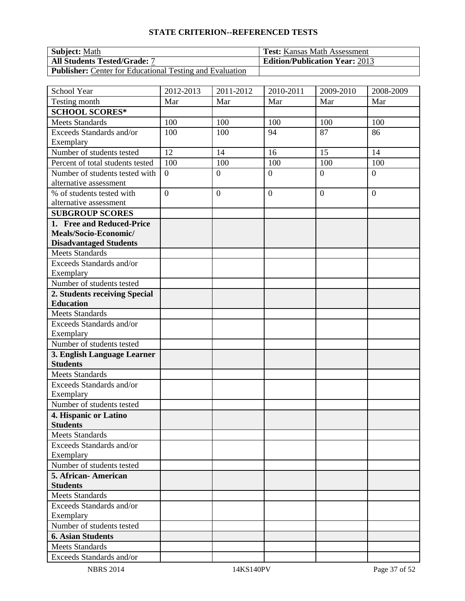| <b>Subject: Math</b>                                            | <b>Test:</b> Kansas Math Assessment   |
|-----------------------------------------------------------------|---------------------------------------|
| <b>All Students Tested/Grade: 7</b>                             | <b>Edition/Publication Year: 2013</b> |
| <b>Publisher:</b> Center for Educational Testing and Evaluation |                                       |

| School Year                                    | 2012-2013        | 2011-2012      | 2010-2011        | 2009-2010        | 2008-2009      |
|------------------------------------------------|------------------|----------------|------------------|------------------|----------------|
| Testing month                                  | Mar              | Mar            | Mar              | Mar              | Mar            |
| <b>SCHOOL SCORES*</b>                          |                  |                |                  |                  |                |
| <b>Meets Standards</b>                         | 100              | 100            | 100              | 100              | 100            |
| Exceeds Standards and/or                       | 100              | 100            | 94               | 87               | 86             |
| Exemplary                                      |                  |                |                  |                  |                |
| Number of students tested                      | 12               | 14             | 16               | 15               | 14             |
| Percent of total students tested               | 100              | 100            | 100              | 100              | 100            |
| Number of students tested with                 | $\overline{0}$   | $\overline{0}$ | $\overline{0}$   | $\overline{0}$   | $\overline{0}$ |
| alternative assessment                         |                  |                |                  |                  |                |
| % of students tested with                      | $\boldsymbol{0}$ | $\overline{0}$ | $\boldsymbol{0}$ | $\boldsymbol{0}$ | $\overline{0}$ |
| alternative assessment                         |                  |                |                  |                  |                |
| <b>SUBGROUP SCORES</b>                         |                  |                |                  |                  |                |
| 1. Free and Reduced-Price                      |                  |                |                  |                  |                |
| Meals/Socio-Economic/                          |                  |                |                  |                  |                |
| <b>Disadvantaged Students</b>                  |                  |                |                  |                  |                |
| <b>Meets Standards</b>                         |                  |                |                  |                  |                |
| Exceeds Standards and/or                       |                  |                |                  |                  |                |
| Exemplary                                      |                  |                |                  |                  |                |
| Number of students tested                      |                  |                |                  |                  |                |
| 2. Students receiving Special                  |                  |                |                  |                  |                |
| <b>Education</b>                               |                  |                |                  |                  |                |
| <b>Meets Standards</b>                         |                  |                |                  |                  |                |
| Exceeds Standards and/or                       |                  |                |                  |                  |                |
| Exemplary<br>Number of students tested         |                  |                |                  |                  |                |
|                                                |                  |                |                  |                  |                |
| 3. English Language Learner<br><b>Students</b> |                  |                |                  |                  |                |
| <b>Meets Standards</b>                         |                  |                |                  |                  |                |
| Exceeds Standards and/or                       |                  |                |                  |                  |                |
| Exemplary                                      |                  |                |                  |                  |                |
| Number of students tested                      |                  |                |                  |                  |                |
| 4. Hispanic or Latino                          |                  |                |                  |                  |                |
| <b>Students</b>                                |                  |                |                  |                  |                |
| <b>Meets Standards</b>                         |                  |                |                  |                  |                |
| Exceeds Standards and/or                       |                  |                |                  |                  |                |
| Exemplary                                      |                  |                |                  |                  |                |
| Number of students tested                      |                  |                |                  |                  |                |
| 5. African-American                            |                  |                |                  |                  |                |
| <b>Students</b>                                |                  |                |                  |                  |                |
| <b>Meets Standards</b>                         |                  |                |                  |                  |                |
| Exceeds Standards and/or                       |                  |                |                  |                  |                |
| Exemplary                                      |                  |                |                  |                  |                |
| Number of students tested                      |                  |                |                  |                  |                |
| <b>6. Asian Students</b>                       |                  |                |                  |                  |                |
| <b>Meets Standards</b>                         |                  |                |                  |                  |                |
| Exceeds Standards and/or                       |                  |                |                  |                  |                |
| <b>NBRS 2014</b>                               |                  | 14KS140PV      |                  |                  | Page 37 of 52  |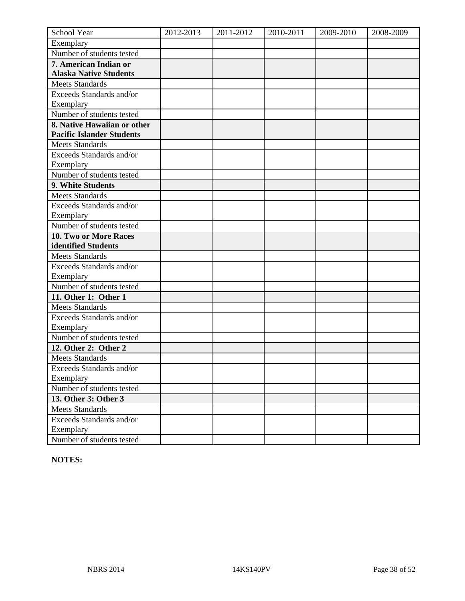| School Year                            | 2012-2013 | 2011-2012 | 2010-2011 | 2009-2010 | 2008-2009 |
|----------------------------------------|-----------|-----------|-----------|-----------|-----------|
| Exemplary                              |           |           |           |           |           |
| Number of students tested              |           |           |           |           |           |
| 7. American Indian or                  |           |           |           |           |           |
| <b>Alaska Native Students</b>          |           |           |           |           |           |
| <b>Meets Standards</b>                 |           |           |           |           |           |
| Exceeds Standards and/or               |           |           |           |           |           |
| Exemplary                              |           |           |           |           |           |
| Number of students tested              |           |           |           |           |           |
| 8. Native Hawaiian or other            |           |           |           |           |           |
| <b>Pacific Islander Students</b>       |           |           |           |           |           |
| <b>Meets Standards</b>                 |           |           |           |           |           |
| Exceeds Standards and/or               |           |           |           |           |           |
| Exemplary                              |           |           |           |           |           |
| Number of students tested              |           |           |           |           |           |
| 9. White Students                      |           |           |           |           |           |
| <b>Meets Standards</b>                 |           |           |           |           |           |
| Exceeds Standards and/or               |           |           |           |           |           |
| Exemplary                              |           |           |           |           |           |
| Number of students tested              |           |           |           |           |           |
| 10. Two or More Races                  |           |           |           |           |           |
| identified Students                    |           |           |           |           |           |
| <b>Meets Standards</b>                 |           |           |           |           |           |
| Exceeds Standards and/or               |           |           |           |           |           |
| Exemplary                              |           |           |           |           |           |
| Number of students tested              |           |           |           |           |           |
| 11. Other 1: Other 1                   |           |           |           |           |           |
| <b>Meets Standards</b>                 |           |           |           |           |           |
| Exceeds Standards and/or               |           |           |           |           |           |
| Exemplary                              |           |           |           |           |           |
| Number of students tested              |           |           |           |           |           |
| 12. Other 2: Other 2                   |           |           |           |           |           |
| <b>Meets Standards</b>                 |           |           |           |           |           |
| <b>Exceeds Standards and/or</b>        |           |           |           |           |           |
| Exemplary<br>Number of students tested |           |           |           |           |           |
|                                        |           |           |           |           |           |
| 13. Other 3: Other 3                   |           |           |           |           |           |
| <b>Meets Standards</b>                 |           |           |           |           |           |
| Exceeds Standards and/or               |           |           |           |           |           |
| Exemplary<br>Number of students tested |           |           |           |           |           |
|                                        |           |           |           |           |           |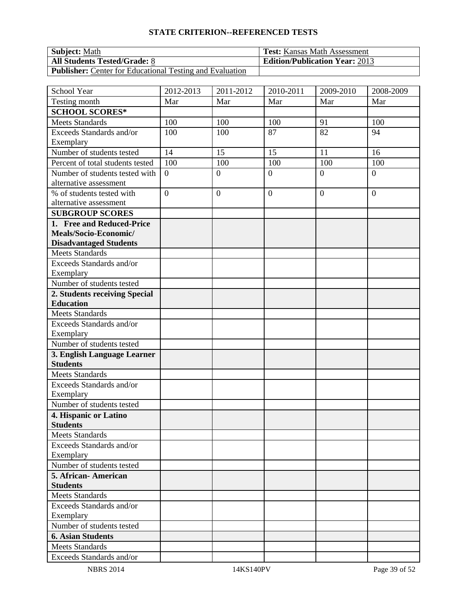| <b>Subject:</b> Math                                            | <b>Test:</b> Kansas Math Assessment   |
|-----------------------------------------------------------------|---------------------------------------|
| <b>All Students Tested/Grade: 8</b>                             | <b>Edition/Publication Year: 2013</b> |
| <b>Publisher:</b> Center for Educational Testing and Evaluation |                                       |

| School Year                                       | 2012-2013      | 2011-2012      | $2010 - 2011$  | 2009-2010      | 2008-2009      |
|---------------------------------------------------|----------------|----------------|----------------|----------------|----------------|
| Testing month                                     | Mar            | Mar            | Mar            | Mar            | Mar            |
| <b>SCHOOL SCORES*</b>                             |                |                |                |                |                |
| <b>Meets Standards</b>                            | 100            | 100            | 100            | 91             | 100            |
| Exceeds Standards and/or                          | 100            | 100            | 87             | 82             | 94             |
| Exemplary                                         |                |                |                |                |                |
| Number of students tested                         | 14             | 15             | 15             | 11             | 16             |
| Percent of total students tested                  | 100            | 100            | 100            | 100            | 100            |
| Number of students tested with                    | $\overline{0}$ | $\overline{0}$ | $\overline{0}$ | $\overline{0}$ | $\overline{0}$ |
| alternative assessment                            |                |                |                |                |                |
| % of students tested with                         | $\overline{0}$ | $\mathbf{0}$   | $\mathbf{0}$   | $\overline{0}$ | $\overline{0}$ |
| alternative assessment                            |                |                |                |                |                |
| <b>SUBGROUP SCORES</b>                            |                |                |                |                |                |
| 1. Free and Reduced-Price                         |                |                |                |                |                |
| Meals/Socio-Economic/                             |                |                |                |                |                |
| <b>Disadvantaged Students</b>                     |                |                |                |                |                |
| <b>Meets Standards</b>                            |                |                |                |                |                |
| Exceeds Standards and/or                          |                |                |                |                |                |
| Exemplary                                         |                |                |                |                |                |
| Number of students tested                         |                |                |                |                |                |
| 2. Students receiving Special<br><b>Education</b> |                |                |                |                |                |
| <b>Meets Standards</b>                            |                |                |                |                |                |
| Exceeds Standards and/or                          |                |                |                |                |                |
| Exemplary                                         |                |                |                |                |                |
| Number of students tested                         |                |                |                |                |                |
| 3. English Language Learner                       |                |                |                |                |                |
| <b>Students</b>                                   |                |                |                |                |                |
| <b>Meets Standards</b>                            |                |                |                |                |                |
| Exceeds Standards and/or                          |                |                |                |                |                |
| Exemplary                                         |                |                |                |                |                |
| Number of students tested                         |                |                |                |                |                |
| 4. Hispanic or Latino                             |                |                |                |                |                |
| <b>Students</b>                                   |                |                |                |                |                |
| <b>Meets Standards</b>                            |                |                |                |                |                |
| Exceeds Standards and/or                          |                |                |                |                |                |
| Exemplary                                         |                |                |                |                |                |
| Number of students tested                         |                |                |                |                |                |
| 5. African-American                               |                |                |                |                |                |
| <b>Students</b>                                   |                |                |                |                |                |
| Meets Standards                                   |                |                |                |                |                |
| Exceeds Standards and/or                          |                |                |                |                |                |
| Exemplary                                         |                |                |                |                |                |
| Number of students tested                         |                |                |                |                |                |
| <b>6. Asian Students</b>                          |                |                |                |                |                |
| <b>Meets Standards</b>                            |                |                |                |                |                |
| Exceeds Standards and/or                          |                |                |                |                |                |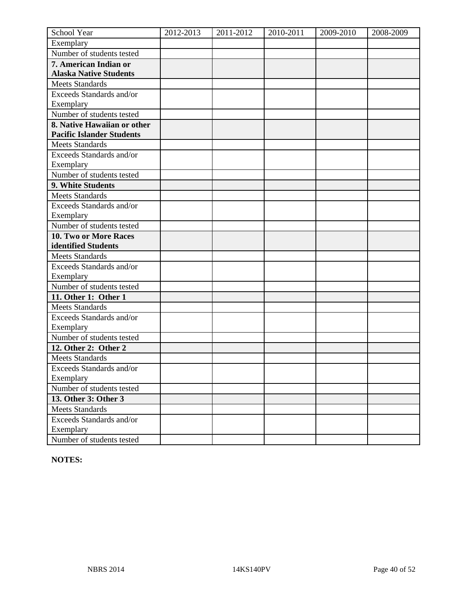| School Year                            | 2012-2013 | 2011-2012 | 2010-2011 | 2009-2010 | 2008-2009 |
|----------------------------------------|-----------|-----------|-----------|-----------|-----------|
| Exemplary                              |           |           |           |           |           |
| Number of students tested              |           |           |           |           |           |
| 7. American Indian or                  |           |           |           |           |           |
| <b>Alaska Native Students</b>          |           |           |           |           |           |
| <b>Meets Standards</b>                 |           |           |           |           |           |
| Exceeds Standards and/or               |           |           |           |           |           |
| Exemplary                              |           |           |           |           |           |
| Number of students tested              |           |           |           |           |           |
| 8. Native Hawaiian or other            |           |           |           |           |           |
| <b>Pacific Islander Students</b>       |           |           |           |           |           |
| <b>Meets Standards</b>                 |           |           |           |           |           |
| Exceeds Standards and/or               |           |           |           |           |           |
| Exemplary                              |           |           |           |           |           |
| Number of students tested              |           |           |           |           |           |
| 9. White Students                      |           |           |           |           |           |
| <b>Meets Standards</b>                 |           |           |           |           |           |
| Exceeds Standards and/or               |           |           |           |           |           |
| Exemplary                              |           |           |           |           |           |
| Number of students tested              |           |           |           |           |           |
| 10. Two or More Races                  |           |           |           |           |           |
| identified Students                    |           |           |           |           |           |
| <b>Meets Standards</b>                 |           |           |           |           |           |
| Exceeds Standards and/or               |           |           |           |           |           |
| Exemplary                              |           |           |           |           |           |
| Number of students tested              |           |           |           |           |           |
| 11. Other 1: Other 1                   |           |           |           |           |           |
| <b>Meets Standards</b>                 |           |           |           |           |           |
| Exceeds Standards and/or               |           |           |           |           |           |
| Exemplary                              |           |           |           |           |           |
| Number of students tested              |           |           |           |           |           |
| 12. Other 2: Other 2                   |           |           |           |           |           |
| <b>Meets Standards</b>                 |           |           |           |           |           |
| <b>Exceeds Standards and/or</b>        |           |           |           |           |           |
| Exemplary<br>Number of students tested |           |           |           |           |           |
|                                        |           |           |           |           |           |
| 13. Other 3: Other 3                   |           |           |           |           |           |
| <b>Meets Standards</b>                 |           |           |           |           |           |
| Exceeds Standards and/or               |           |           |           |           |           |
| Exemplary<br>Number of students tested |           |           |           |           |           |
|                                        |           |           |           |           |           |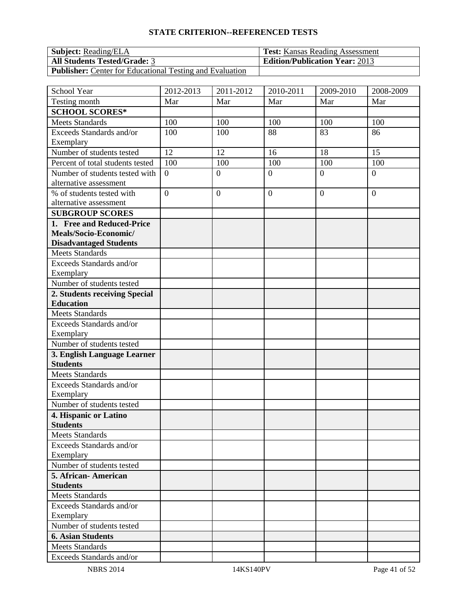| <b>Subject:</b> Reading/ELA                                     | <b>Test:</b> Kansas Reading Assessment |
|-----------------------------------------------------------------|----------------------------------------|
| <b>All Students Tested/Grade: 3</b>                             | <b>Edition/Publication Year: 2013</b>  |
| <b>Publisher:</b> Center for Educational Testing and Evaluation |                                        |

| School Year                                    | 2012-2013      | 2011-2012        | 2010-2011      | 2009-2010        | 2008-2009        |
|------------------------------------------------|----------------|------------------|----------------|------------------|------------------|
| Testing month                                  | Mar            | Mar              | Mar            | Mar              | Mar              |
| <b>SCHOOL SCORES*</b>                          |                |                  |                |                  |                  |
| <b>Meets Standards</b>                         | 100            | 100              | 100            | 100              | 100              |
| Exceeds Standards and/or                       | 100            | 100              | 88             | 83               | 86               |
| Exemplary                                      |                |                  |                |                  |                  |
| Number of students tested                      | 12             | 12               | 16             | 18               | 15               |
| Percent of total students tested               | 100            | 100              | 100            | 100              | 100              |
| Number of students tested with                 | $\overline{0}$ | $\overline{0}$   | $\overline{0}$ | $\overline{0}$   | $\overline{0}$   |
| alternative assessment                         |                |                  |                |                  |                  |
| % of students tested with                      | $\overline{0}$ | $\boldsymbol{0}$ | $\overline{0}$ | $\boldsymbol{0}$ | $\boldsymbol{0}$ |
| alternative assessment                         |                |                  |                |                  |                  |
| <b>SUBGROUP SCORES</b>                         |                |                  |                |                  |                  |
| 1. Free and Reduced-Price                      |                |                  |                |                  |                  |
| Meals/Socio-Economic/                          |                |                  |                |                  |                  |
| <b>Disadvantaged Students</b>                  |                |                  |                |                  |                  |
| <b>Meets Standards</b>                         |                |                  |                |                  |                  |
| Exceeds Standards and/or                       |                |                  |                |                  |                  |
| Exemplary                                      |                |                  |                |                  |                  |
| Number of students tested                      |                |                  |                |                  |                  |
| 2. Students receiving Special                  |                |                  |                |                  |                  |
| <b>Education</b>                               |                |                  |                |                  |                  |
| <b>Meets Standards</b>                         |                |                  |                |                  |                  |
| Exceeds Standards and/or                       |                |                  |                |                  |                  |
| Exemplary                                      |                |                  |                |                  |                  |
| Number of students tested                      |                |                  |                |                  |                  |
| 3. English Language Learner<br><b>Students</b> |                |                  |                |                  |                  |
| <b>Meets Standards</b>                         |                |                  |                |                  |                  |
| Exceeds Standards and/or                       |                |                  |                |                  |                  |
| Exemplary                                      |                |                  |                |                  |                  |
| Number of students tested                      |                |                  |                |                  |                  |
| 4. Hispanic or Latino                          |                |                  |                |                  |                  |
| <b>Students</b>                                |                |                  |                |                  |                  |
| <b>Meets Standards</b>                         |                |                  |                |                  |                  |
| Exceeds Standards and/or                       |                |                  |                |                  |                  |
| Exemplary                                      |                |                  |                |                  |                  |
| Number of students tested                      |                |                  |                |                  |                  |
| 5. African-American                            |                |                  |                |                  |                  |
| <b>Students</b>                                |                |                  |                |                  |                  |
| Meets Standards                                |                |                  |                |                  |                  |
| Exceeds Standards and/or                       |                |                  |                |                  |                  |
| Exemplary                                      |                |                  |                |                  |                  |
| Number of students tested                      |                |                  |                |                  |                  |
| <b>6. Asian Students</b>                       |                |                  |                |                  |                  |
| <b>Meets Standards</b>                         |                |                  |                |                  |                  |
| Exceeds Standards and/or                       |                |                  |                |                  |                  |
| <b>NBRS 2014</b>                               |                | 14KS140PV        |                |                  | Page 41 of 52    |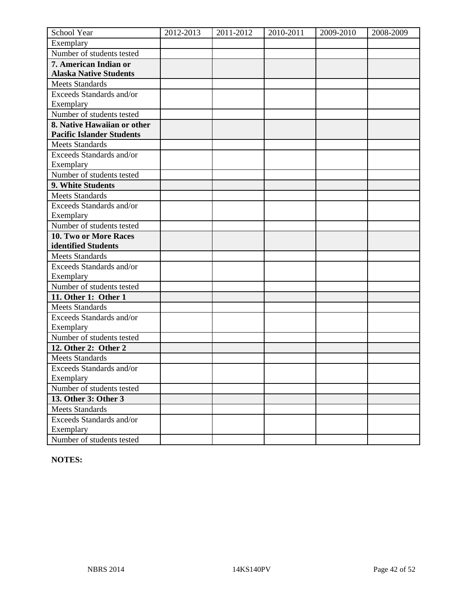| School Year                            | 2012-2013 | 2011-2012 | 2010-2011 | 2009-2010 | 2008-2009 |
|----------------------------------------|-----------|-----------|-----------|-----------|-----------|
| Exemplary                              |           |           |           |           |           |
| Number of students tested              |           |           |           |           |           |
| 7. American Indian or                  |           |           |           |           |           |
| <b>Alaska Native Students</b>          |           |           |           |           |           |
| <b>Meets Standards</b>                 |           |           |           |           |           |
| Exceeds Standards and/or               |           |           |           |           |           |
| Exemplary                              |           |           |           |           |           |
| Number of students tested              |           |           |           |           |           |
| 8. Native Hawaiian or other            |           |           |           |           |           |
| <b>Pacific Islander Students</b>       |           |           |           |           |           |
| <b>Meets Standards</b>                 |           |           |           |           |           |
| Exceeds Standards and/or               |           |           |           |           |           |
| Exemplary                              |           |           |           |           |           |
| Number of students tested              |           |           |           |           |           |
| 9. White Students                      |           |           |           |           |           |
| <b>Meets Standards</b>                 |           |           |           |           |           |
| Exceeds Standards and/or               |           |           |           |           |           |
| Exemplary                              |           |           |           |           |           |
| Number of students tested              |           |           |           |           |           |
| 10. Two or More Races                  |           |           |           |           |           |
| identified Students                    |           |           |           |           |           |
| <b>Meets Standards</b>                 |           |           |           |           |           |
| Exceeds Standards and/or               |           |           |           |           |           |
| Exemplary                              |           |           |           |           |           |
| Number of students tested              |           |           |           |           |           |
| 11. Other 1: Other 1                   |           |           |           |           |           |
| <b>Meets Standards</b>                 |           |           |           |           |           |
| Exceeds Standards and/or               |           |           |           |           |           |
| Exemplary                              |           |           |           |           |           |
| Number of students tested              |           |           |           |           |           |
| 12. Other 2: Other 2                   |           |           |           |           |           |
| <b>Meets Standards</b>                 |           |           |           |           |           |
| <b>Exceeds Standards and/or</b>        |           |           |           |           |           |
| Exemplary<br>Number of students tested |           |           |           |           |           |
|                                        |           |           |           |           |           |
| 13. Other 3: Other 3                   |           |           |           |           |           |
| <b>Meets Standards</b>                 |           |           |           |           |           |
| Exceeds Standards and/or               |           |           |           |           |           |
| Exemplary<br>Number of students tested |           |           |           |           |           |
|                                        |           |           |           |           |           |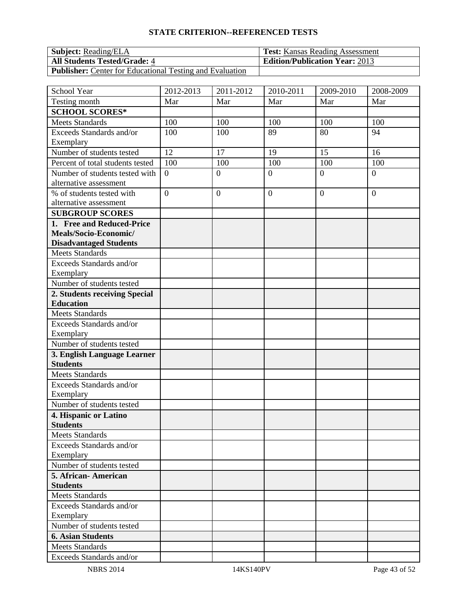| <b>Subject:</b> Reading/ELA                                     | <b>Test:</b> Kansas Reading Assessment |
|-----------------------------------------------------------------|----------------------------------------|
| <b>All Students Tested/Grade: 4</b>                             | <b>Edition/Publication Year: 2013</b>  |
| <b>Publisher:</b> Center for Educational Testing and Evaluation |                                        |

| School Year                                              | 2012-2013      | 2011-2012        | 2010-2011      | 2009-2010        | 2008-2009        |
|----------------------------------------------------------|----------------|------------------|----------------|------------------|------------------|
| Testing month                                            | Mar            | Mar              | Mar            | Mar              | Mar              |
| <b>SCHOOL SCORES*</b>                                    |                |                  |                |                  |                  |
| <b>Meets Standards</b>                                   | 100            | 100              | 100            | 100              | 100              |
| Exceeds Standards and/or                                 | 100            | 100              | 89             | 80               | 94               |
| Exemplary                                                |                |                  |                |                  |                  |
| Number of students tested                                | 12             | 17               | 19             | 15               | 16               |
| Percent of total students tested                         | 100            | 100              | 100            | 100              | 100              |
| Number of students tested with<br>alternative assessment | $\overline{0}$ | $\overline{0}$   | $\overline{0}$ | $\overline{0}$   | $\overline{0}$   |
| % of students tested with                                | $\overline{0}$ | $\boldsymbol{0}$ | $\overline{0}$ | $\boldsymbol{0}$ | $\boldsymbol{0}$ |
| alternative assessment                                   |                |                  |                |                  |                  |
| <b>SUBGROUP SCORES</b>                                   |                |                  |                |                  |                  |
| 1. Free and Reduced-Price                                |                |                  |                |                  |                  |
| Meals/Socio-Economic/                                    |                |                  |                |                  |                  |
| <b>Disadvantaged Students</b>                            |                |                  |                |                  |                  |
| <b>Meets Standards</b>                                   |                |                  |                |                  |                  |
| Exceeds Standards and/or                                 |                |                  |                |                  |                  |
| Exemplary                                                |                |                  |                |                  |                  |
| Number of students tested                                |                |                  |                |                  |                  |
| 2. Students receiving Special                            |                |                  |                |                  |                  |
| <b>Education</b>                                         |                |                  |                |                  |                  |
| <b>Meets Standards</b>                                   |                |                  |                |                  |                  |
| Exceeds Standards and/or                                 |                |                  |                |                  |                  |
| Exemplary                                                |                |                  |                |                  |                  |
| Number of students tested                                |                |                  |                |                  |                  |
| 3. English Language Learner                              |                |                  |                |                  |                  |
| <b>Students</b>                                          |                |                  |                |                  |                  |
| <b>Meets Standards</b>                                   |                |                  |                |                  |                  |
| Exceeds Standards and/or                                 |                |                  |                |                  |                  |
| Exemplary<br>Number of students tested                   |                |                  |                |                  |                  |
| 4. Hispanic or Latino                                    |                |                  |                |                  |                  |
| <b>Students</b>                                          |                |                  |                |                  |                  |
| <b>Meets Standards</b>                                   |                |                  |                |                  |                  |
| Exceeds Standards and/or                                 |                |                  |                |                  |                  |
| Exemplary                                                |                |                  |                |                  |                  |
| Number of students tested                                |                |                  |                |                  |                  |
| 5. African-American                                      |                |                  |                |                  |                  |
| <b>Students</b>                                          |                |                  |                |                  |                  |
| <b>Meets Standards</b>                                   |                |                  |                |                  |                  |
| Exceeds Standards and/or                                 |                |                  |                |                  |                  |
| Exemplary                                                |                |                  |                |                  |                  |
| Number of students tested                                |                |                  |                |                  |                  |
| <b>6. Asian Students</b>                                 |                |                  |                |                  |                  |
| <b>Meets Standards</b>                                   |                |                  |                |                  |                  |
| Exceeds Standards and/or                                 |                |                  |                |                  |                  |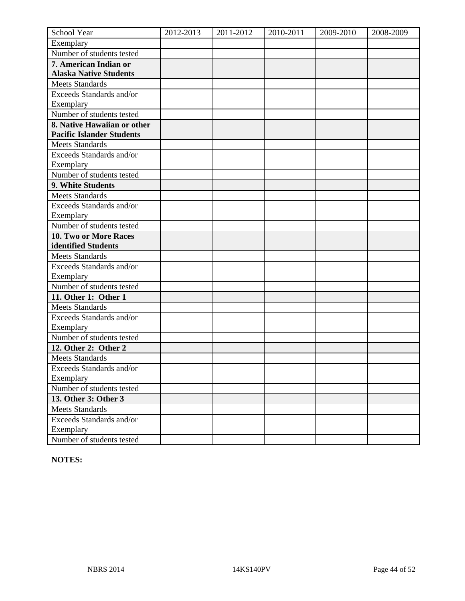| School Year                            | 2012-2013 | 2011-2012 | 2010-2011 | 2009-2010 | 2008-2009 |
|----------------------------------------|-----------|-----------|-----------|-----------|-----------|
| Exemplary                              |           |           |           |           |           |
| Number of students tested              |           |           |           |           |           |
| 7. American Indian or                  |           |           |           |           |           |
| <b>Alaska Native Students</b>          |           |           |           |           |           |
| <b>Meets Standards</b>                 |           |           |           |           |           |
| Exceeds Standards and/or               |           |           |           |           |           |
| Exemplary                              |           |           |           |           |           |
| Number of students tested              |           |           |           |           |           |
| 8. Native Hawaiian or other            |           |           |           |           |           |
| <b>Pacific Islander Students</b>       |           |           |           |           |           |
| <b>Meets Standards</b>                 |           |           |           |           |           |
| Exceeds Standards and/or               |           |           |           |           |           |
| Exemplary                              |           |           |           |           |           |
| Number of students tested              |           |           |           |           |           |
| 9. White Students                      |           |           |           |           |           |
| <b>Meets Standards</b>                 |           |           |           |           |           |
| Exceeds Standards and/or               |           |           |           |           |           |
| Exemplary                              |           |           |           |           |           |
| Number of students tested              |           |           |           |           |           |
| 10. Two or More Races                  |           |           |           |           |           |
| identified Students                    |           |           |           |           |           |
| <b>Meets Standards</b>                 |           |           |           |           |           |
| Exceeds Standards and/or               |           |           |           |           |           |
| Exemplary                              |           |           |           |           |           |
| Number of students tested              |           |           |           |           |           |
| 11. Other 1: Other 1                   |           |           |           |           |           |
| <b>Meets Standards</b>                 |           |           |           |           |           |
| Exceeds Standards and/or               |           |           |           |           |           |
| Exemplary                              |           |           |           |           |           |
| Number of students tested              |           |           |           |           |           |
| 12. Other 2: Other 2                   |           |           |           |           |           |
| <b>Meets Standards</b>                 |           |           |           |           |           |
| <b>Exceeds Standards and/or</b>        |           |           |           |           |           |
| Exemplary<br>Number of students tested |           |           |           |           |           |
|                                        |           |           |           |           |           |
| 13. Other 3: Other 3                   |           |           |           |           |           |
| <b>Meets Standards</b>                 |           |           |           |           |           |
| Exceeds Standards and/or               |           |           |           |           |           |
| Exemplary<br>Number of students tested |           |           |           |           |           |
|                                        |           |           |           |           |           |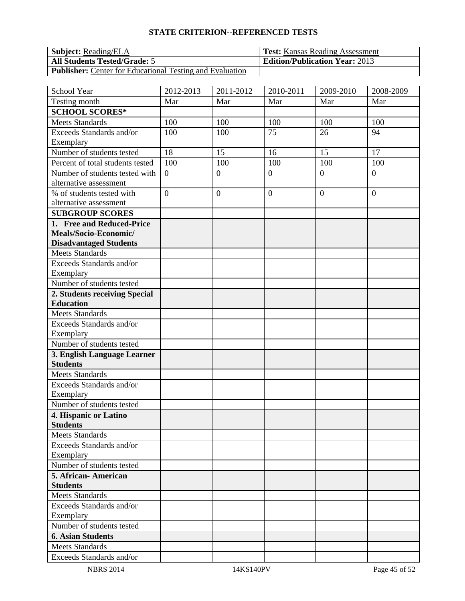| <b>Subject:</b> Reading/ELA                                     | <b>Test:</b> Kansas Reading Assessment |
|-----------------------------------------------------------------|----------------------------------------|
| <b>All Students Tested/Grade: 5</b>                             | <b>Edition/Publication Year: 2013</b>  |
| <b>Publisher:</b> Center for Educational Testing and Evaluation |                                        |

| School Year                                            | 2012-2013      | 2011-2012      | $2010 - 2011$  | 2009-2010      | 2008-2009      |
|--------------------------------------------------------|----------------|----------------|----------------|----------------|----------------|
| Testing month                                          | Mar            | Mar            | Mar            | Mar            | Mar            |
| <b>SCHOOL SCORES*</b>                                  |                |                |                |                |                |
| <b>Meets Standards</b>                                 | 100            | 100            | 100            | 100            | 100            |
| Exceeds Standards and/or                               | 100            | 100            | 75             | 26             | 94             |
| Exemplary                                              |                |                |                |                |                |
| Number of students tested                              | 18             | 15             | 16             | 15             | 17             |
| Percent of total students tested                       | 100            | 100            | 100            | 100            | 100            |
| Number of students tested with                         | $\overline{0}$ | $\overline{0}$ | $\overline{0}$ | $\overline{0}$ | $\overline{0}$ |
| alternative assessment                                 |                |                |                |                |                |
| % of students tested with                              | $\overline{0}$ | $\overline{0}$ | $\mathbf{0}$   | $\overline{0}$ | $\theta$       |
| alternative assessment                                 |                |                |                |                |                |
| <b>SUBGROUP SCORES</b>                                 |                |                |                |                |                |
| 1. Free and Reduced-Price                              |                |                |                |                |                |
| Meals/Socio-Economic/<br><b>Disadvantaged Students</b> |                |                |                |                |                |
| <b>Meets Standards</b>                                 |                |                |                |                |                |
| Exceeds Standards and/or                               |                |                |                |                |                |
| Exemplary                                              |                |                |                |                |                |
| Number of students tested                              |                |                |                |                |                |
| 2. Students receiving Special                          |                |                |                |                |                |
| <b>Education</b>                                       |                |                |                |                |                |
| <b>Meets Standards</b>                                 |                |                |                |                |                |
| Exceeds Standards and/or                               |                |                |                |                |                |
| Exemplary                                              |                |                |                |                |                |
| Number of students tested                              |                |                |                |                |                |
| 3. English Language Learner                            |                |                |                |                |                |
| <b>Students</b>                                        |                |                |                |                |                |
| Meets Standards                                        |                |                |                |                |                |
| Exceeds Standards and/or                               |                |                |                |                |                |
| Exemplary                                              |                |                |                |                |                |
| Number of students tested                              |                |                |                |                |                |
| 4. Hispanic or Latino                                  |                |                |                |                |                |
| <b>Students</b>                                        |                |                |                |                |                |
| <b>Meets Standards</b>                                 |                |                |                |                |                |
| Exceeds Standards and/or                               |                |                |                |                |                |
| Exemplary<br>Number of students tested                 |                |                |                |                |                |
| 5. African-American                                    |                |                |                |                |                |
| <b>Students</b>                                        |                |                |                |                |                |
| <b>Meets Standards</b>                                 |                |                |                |                |                |
| Exceeds Standards and/or                               |                |                |                |                |                |
| Exemplary                                              |                |                |                |                |                |
| Number of students tested                              |                |                |                |                |                |
| <b>6. Asian Students</b>                               |                |                |                |                |                |
| <b>Meets Standards</b>                                 |                |                |                |                |                |
| Exceeds Standards and/or                               |                |                |                |                |                |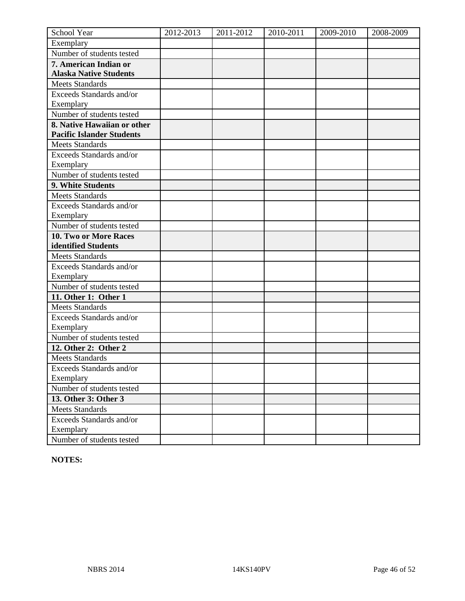| School Year                      | 2012-2013 | 2011-2012 | 2010-2011 | 2009-2010 | 2008-2009 |
|----------------------------------|-----------|-----------|-----------|-----------|-----------|
| Exemplary                        |           |           |           |           |           |
| Number of students tested        |           |           |           |           |           |
| 7. American Indian or            |           |           |           |           |           |
| <b>Alaska Native Students</b>    |           |           |           |           |           |
| <b>Meets Standards</b>           |           |           |           |           |           |
| Exceeds Standards and/or         |           |           |           |           |           |
| Exemplary                        |           |           |           |           |           |
| Number of students tested        |           |           |           |           |           |
| 8. Native Hawaiian or other      |           |           |           |           |           |
| <b>Pacific Islander Students</b> |           |           |           |           |           |
| <b>Meets Standards</b>           |           |           |           |           |           |
| Exceeds Standards and/or         |           |           |           |           |           |
| Exemplary                        |           |           |           |           |           |
| Number of students tested        |           |           |           |           |           |
| 9. White Students                |           |           |           |           |           |
| <b>Meets Standards</b>           |           |           |           |           |           |
| Exceeds Standards and/or         |           |           |           |           |           |
| Exemplary                        |           |           |           |           |           |
| Number of students tested        |           |           |           |           |           |
| 10. Two or More Races            |           |           |           |           |           |
| identified Students              |           |           |           |           |           |
| <b>Meets Standards</b>           |           |           |           |           |           |
| Exceeds Standards and/or         |           |           |           |           |           |
| Exemplary                        |           |           |           |           |           |
| Number of students tested        |           |           |           |           |           |
| 11. Other 1: Other 1             |           |           |           |           |           |
| <b>Meets Standards</b>           |           |           |           |           |           |
| Exceeds Standards and/or         |           |           |           |           |           |
| Exemplary                        |           |           |           |           |           |
| Number of students tested        |           |           |           |           |           |
| 12. Other 2: Other 2             |           |           |           |           |           |
| <b>Meets Standards</b>           |           |           |           |           |           |
| <b>Exceeds Standards and/or</b>  |           |           |           |           |           |
| Exemplary                        |           |           |           |           |           |
| Number of students tested        |           |           |           |           |           |
| 13. Other 3: Other 3             |           |           |           |           |           |
| <b>Meets Standards</b>           |           |           |           |           |           |
| Exceeds Standards and/or         |           |           |           |           |           |
| Exemplary                        |           |           |           |           |           |
| Number of students tested        |           |           |           |           |           |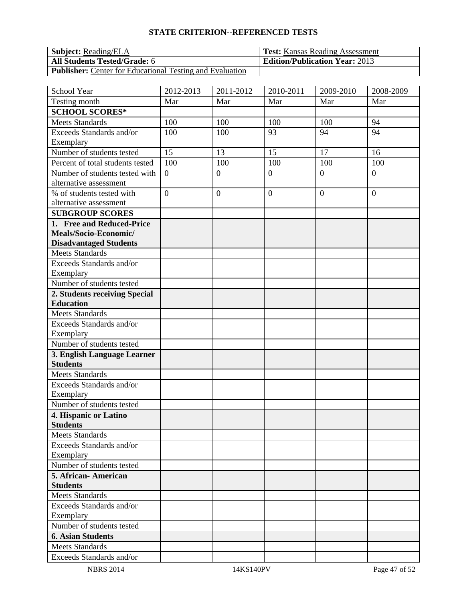| <b>Subject:</b> Reading/ELA                                     | <b>Test:</b> Kansas Reading Assessment |
|-----------------------------------------------------------------|----------------------------------------|
| <b>All Students Tested/Grade: 6</b>                             | <b>Edition/Publication Year: 2013</b>  |
| <b>Publisher:</b> Center for Educational Testing and Evaluation |                                        |

| School Year                                      | 2012-2013      | 2011-2012        | 2010-2011      | 2009-2010        | 2008-2009        |
|--------------------------------------------------|----------------|------------------|----------------|------------------|------------------|
| Testing month                                    | Mar            | Mar              | Mar            | Mar              | Mar              |
| <b>SCHOOL SCORES*</b>                            |                |                  |                |                  |                  |
| <b>Meets Standards</b>                           | 100            | 100              | 100            | 100              | 94               |
| Exceeds Standards and/or                         | 100            | 100              | 93             | 94               | 94               |
| Exemplary                                        |                |                  |                |                  |                  |
| Number of students tested                        | 15             | 13               | 15             | 17               | 16               |
| Percent of total students tested                 | 100            | 100              | 100            | 100              | 100              |
| Number of students tested with                   | $\overline{0}$ | $\overline{0}$   | $\overline{0}$ | $\overline{0}$   | $\overline{0}$   |
| alternative assessment                           |                |                  |                |                  |                  |
| % of students tested with                        | $\overline{0}$ | $\boldsymbol{0}$ | $\overline{0}$ | $\boldsymbol{0}$ | $\boldsymbol{0}$ |
| alternative assessment<br><b>SUBGROUP SCORES</b> |                |                  |                |                  |                  |
| 1. Free and Reduced-Price                        |                |                  |                |                  |                  |
| Meals/Socio-Economic/                            |                |                  |                |                  |                  |
| <b>Disadvantaged Students</b>                    |                |                  |                |                  |                  |
| <b>Meets Standards</b>                           |                |                  |                |                  |                  |
| Exceeds Standards and/or                         |                |                  |                |                  |                  |
| Exemplary                                        |                |                  |                |                  |                  |
| Number of students tested                        |                |                  |                |                  |                  |
| 2. Students receiving Special                    |                |                  |                |                  |                  |
| <b>Education</b>                                 |                |                  |                |                  |                  |
| <b>Meets Standards</b>                           |                |                  |                |                  |                  |
| Exceeds Standards and/or                         |                |                  |                |                  |                  |
| Exemplary                                        |                |                  |                |                  |                  |
| Number of students tested                        |                |                  |                |                  |                  |
| 3. English Language Learner                      |                |                  |                |                  |                  |
| <b>Students</b>                                  |                |                  |                |                  |                  |
| <b>Meets Standards</b>                           |                |                  |                |                  |                  |
| Exceeds Standards and/or                         |                |                  |                |                  |                  |
| Exemplary                                        |                |                  |                |                  |                  |
| Number of students tested                        |                |                  |                |                  |                  |
| 4. Hispanic or Latino<br><b>Students</b>         |                |                  |                |                  |                  |
| <b>Meets Standards</b>                           |                |                  |                |                  |                  |
| Exceeds Standards and/or                         |                |                  |                |                  |                  |
| Exemplary                                        |                |                  |                |                  |                  |
| Number of students tested                        |                |                  |                |                  |                  |
| 5. African-American                              |                |                  |                |                  |                  |
| <b>Students</b>                                  |                |                  |                |                  |                  |
| <b>Meets Standards</b>                           |                |                  |                |                  |                  |
| Exceeds Standards and/or                         |                |                  |                |                  |                  |
| Exemplary                                        |                |                  |                |                  |                  |
| Number of students tested                        |                |                  |                |                  |                  |
| <b>6. Asian Students</b>                         |                |                  |                |                  |                  |
| <b>Meets Standards</b>                           |                |                  |                |                  |                  |
| Exceeds Standards and/or                         |                |                  |                |                  |                  |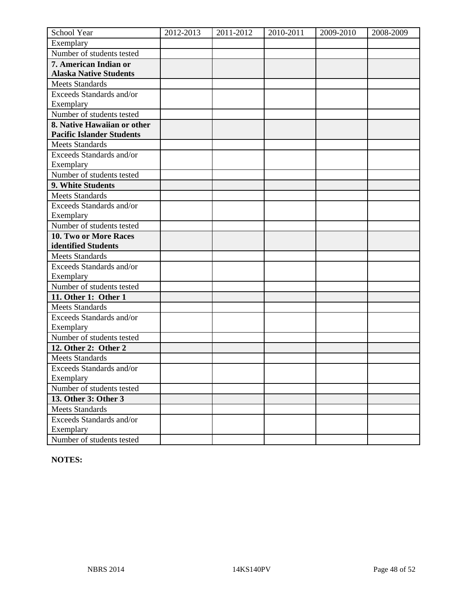| School Year                      | 2012-2013 | 2011-2012 | 2010-2011 | 2009-2010 | 2008-2009 |
|----------------------------------|-----------|-----------|-----------|-----------|-----------|
| Exemplary                        |           |           |           |           |           |
| Number of students tested        |           |           |           |           |           |
| 7. American Indian or            |           |           |           |           |           |
| <b>Alaska Native Students</b>    |           |           |           |           |           |
| <b>Meets Standards</b>           |           |           |           |           |           |
| Exceeds Standards and/or         |           |           |           |           |           |
| Exemplary                        |           |           |           |           |           |
| Number of students tested        |           |           |           |           |           |
| 8. Native Hawaiian or other      |           |           |           |           |           |
| <b>Pacific Islander Students</b> |           |           |           |           |           |
| <b>Meets Standards</b>           |           |           |           |           |           |
| Exceeds Standards and/or         |           |           |           |           |           |
| Exemplary                        |           |           |           |           |           |
| Number of students tested        |           |           |           |           |           |
| 9. White Students                |           |           |           |           |           |
| <b>Meets Standards</b>           |           |           |           |           |           |
| Exceeds Standards and/or         |           |           |           |           |           |
| Exemplary                        |           |           |           |           |           |
| Number of students tested        |           |           |           |           |           |
| 10. Two or More Races            |           |           |           |           |           |
| identified Students              |           |           |           |           |           |
| <b>Meets Standards</b>           |           |           |           |           |           |
| Exceeds Standards and/or         |           |           |           |           |           |
| Exemplary                        |           |           |           |           |           |
| Number of students tested        |           |           |           |           |           |
| 11. Other 1: Other 1             |           |           |           |           |           |
| <b>Meets Standards</b>           |           |           |           |           |           |
| Exceeds Standards and/or         |           |           |           |           |           |
| Exemplary                        |           |           |           |           |           |
| Number of students tested        |           |           |           |           |           |
| 12. Other 2: Other 2             |           |           |           |           |           |
| <b>Meets Standards</b>           |           |           |           |           |           |
| <b>Exceeds Standards and/or</b>  |           |           |           |           |           |
| Exemplary                        |           |           |           |           |           |
| Number of students tested        |           |           |           |           |           |
| 13. Other 3: Other 3             |           |           |           |           |           |
| <b>Meets Standards</b>           |           |           |           |           |           |
| Exceeds Standards and/or         |           |           |           |           |           |
| Exemplary                        |           |           |           |           |           |
| Number of students tested        |           |           |           |           |           |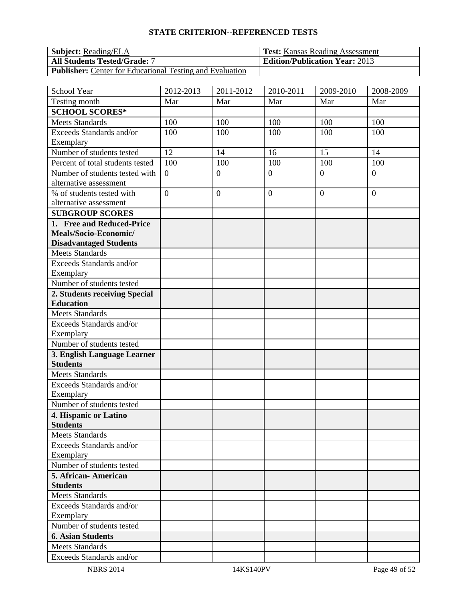| <b>Subject:</b> Reading/ELA                                     | <b>Test:</b> Kansas Reading Assessment |
|-----------------------------------------------------------------|----------------------------------------|
| <b>All Students Tested/Grade: 7</b>                             | <b>Edition/Publication Year: 2013</b>  |
| <b>Publisher:</b> Center for Educational Testing and Evaluation |                                        |

| School Year                                        | 2012-2013      | 2011-2012        | 2010-2011      | 2009-2010        | 2008-2009        |
|----------------------------------------------------|----------------|------------------|----------------|------------------|------------------|
| Testing month                                      | Mar            | Mar              | Mar            | Mar              | Mar              |
| <b>SCHOOL SCORES*</b>                              |                |                  |                |                  |                  |
| <b>Meets Standards</b>                             | 100            | 100              | 100            | 100              | 100              |
| Exceeds Standards and/or                           | 100            | 100              | 100            | 100              | 100              |
| Exemplary                                          |                |                  |                |                  |                  |
| Number of students tested                          | 12             | 14               | 16             | 15               | 14               |
| Percent of total students tested                   | 100            | 100              | 100            | 100              | 100              |
| Number of students tested with                     | $\overline{0}$ | $\overline{0}$   | $\overline{0}$ | $\overline{0}$   | $\overline{0}$   |
| alternative assessment                             |                |                  |                |                  |                  |
| % of students tested with                          | $\overline{0}$ | $\boldsymbol{0}$ | $\overline{0}$ | $\boldsymbol{0}$ | $\boldsymbol{0}$ |
| alternative assessment                             |                |                  |                |                  |                  |
| <b>SUBGROUP SCORES</b>                             |                |                  |                |                  |                  |
| 1. Free and Reduced-Price<br>Meals/Socio-Economic/ |                |                  |                |                  |                  |
| <b>Disadvantaged Students</b>                      |                |                  |                |                  |                  |
| <b>Meets Standards</b>                             |                |                  |                |                  |                  |
| Exceeds Standards and/or                           |                |                  |                |                  |                  |
| Exemplary                                          |                |                  |                |                  |                  |
| Number of students tested                          |                |                  |                |                  |                  |
| 2. Students receiving Special                      |                |                  |                |                  |                  |
| <b>Education</b>                                   |                |                  |                |                  |                  |
| <b>Meets Standards</b>                             |                |                  |                |                  |                  |
| Exceeds Standards and/or                           |                |                  |                |                  |                  |
| Exemplary                                          |                |                  |                |                  |                  |
| Number of students tested                          |                |                  |                |                  |                  |
| 3. English Language Learner                        |                |                  |                |                  |                  |
| <b>Students</b>                                    |                |                  |                |                  |                  |
| <b>Meets Standards</b>                             |                |                  |                |                  |                  |
| Exceeds Standards and/or                           |                |                  |                |                  |                  |
| Exemplary                                          |                |                  |                |                  |                  |
| Number of students tested                          |                |                  |                |                  |                  |
| 4. Hispanic or Latino<br><b>Students</b>           |                |                  |                |                  |                  |
| <b>Meets Standards</b>                             |                |                  |                |                  |                  |
| Exceeds Standards and/or                           |                |                  |                |                  |                  |
| Exemplary                                          |                |                  |                |                  |                  |
| Number of students tested                          |                |                  |                |                  |                  |
| 5. African-American                                |                |                  |                |                  |                  |
| <b>Students</b>                                    |                |                  |                |                  |                  |
| <b>Meets Standards</b>                             |                |                  |                |                  |                  |
| Exceeds Standards and/or                           |                |                  |                |                  |                  |
| Exemplary                                          |                |                  |                |                  |                  |
| Number of students tested                          |                |                  |                |                  |                  |
| <b>6. Asian Students</b>                           |                |                  |                |                  |                  |
| <b>Meets Standards</b>                             |                |                  |                |                  |                  |
| Exceeds Standards and/or                           |                |                  |                |                  |                  |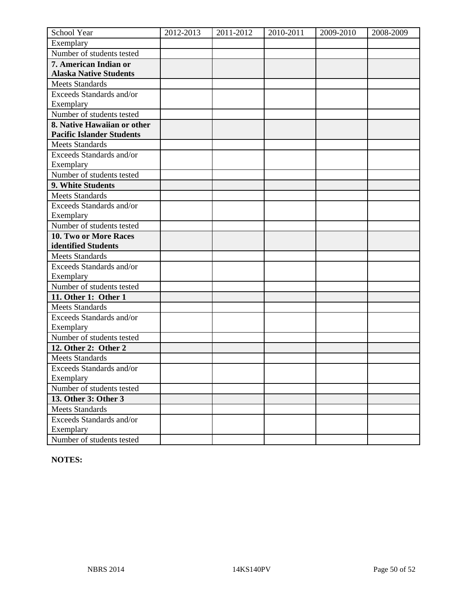| School Year                      | 2012-2013 | 2011-2012 | 2010-2011 | 2009-2010 | 2008-2009 |
|----------------------------------|-----------|-----------|-----------|-----------|-----------|
| Exemplary                        |           |           |           |           |           |
| Number of students tested        |           |           |           |           |           |
| 7. American Indian or            |           |           |           |           |           |
| <b>Alaska Native Students</b>    |           |           |           |           |           |
| <b>Meets Standards</b>           |           |           |           |           |           |
| Exceeds Standards and/or         |           |           |           |           |           |
| Exemplary                        |           |           |           |           |           |
| Number of students tested        |           |           |           |           |           |
| 8. Native Hawaiian or other      |           |           |           |           |           |
| <b>Pacific Islander Students</b> |           |           |           |           |           |
| <b>Meets Standards</b>           |           |           |           |           |           |
| Exceeds Standards and/or         |           |           |           |           |           |
| Exemplary                        |           |           |           |           |           |
| Number of students tested        |           |           |           |           |           |
| 9. White Students                |           |           |           |           |           |
| <b>Meets Standards</b>           |           |           |           |           |           |
| Exceeds Standards and/or         |           |           |           |           |           |
| Exemplary                        |           |           |           |           |           |
| Number of students tested        |           |           |           |           |           |
| 10. Two or More Races            |           |           |           |           |           |
| identified Students              |           |           |           |           |           |
| <b>Meets Standards</b>           |           |           |           |           |           |
| Exceeds Standards and/or         |           |           |           |           |           |
| Exemplary                        |           |           |           |           |           |
| Number of students tested        |           |           |           |           |           |
| 11. Other 1: Other 1             |           |           |           |           |           |
| <b>Meets Standards</b>           |           |           |           |           |           |
| Exceeds Standards and/or         |           |           |           |           |           |
| Exemplary                        |           |           |           |           |           |
| Number of students tested        |           |           |           |           |           |
| 12. Other 2: Other 2             |           |           |           |           |           |
| <b>Meets Standards</b>           |           |           |           |           |           |
| <b>Exceeds Standards and/or</b>  |           |           |           |           |           |
| Exemplary                        |           |           |           |           |           |
| Number of students tested        |           |           |           |           |           |
| 13. Other 3: Other 3             |           |           |           |           |           |
| <b>Meets Standards</b>           |           |           |           |           |           |
| Exceeds Standards and/or         |           |           |           |           |           |
| Exemplary                        |           |           |           |           |           |
| Number of students tested        |           |           |           |           |           |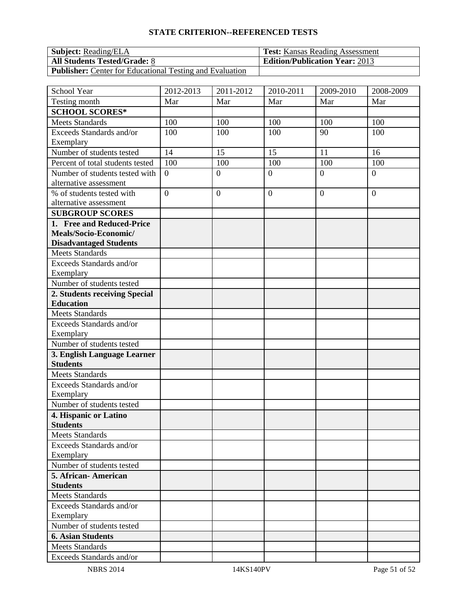| <b>Subject:</b> Reading/ELA                                     | <b>Test:</b> Kansas Reading Assessment |
|-----------------------------------------------------------------|----------------------------------------|
| <b>All Students Tested/Grade: 8</b>                             | <b>Edition/Publication Year: 2013</b>  |
| <b>Publisher:</b> Center for Educational Testing and Evaluation |                                        |

| School Year                                    | 2012-2013      | 2011-2012        | 2010-2011      | 2009-2010      | 2008-2009      |
|------------------------------------------------|----------------|------------------|----------------|----------------|----------------|
| Testing month                                  | Mar            | Mar              | Mar            | Mar            | Mar            |
| <b>SCHOOL SCORES*</b>                          |                |                  |                |                |                |
| <b>Meets Standards</b>                         | 100            | 100              | 100            | 100            | 100            |
| Exceeds Standards and/or                       | 100            | 100              | 100            | 90             | 100            |
| Exemplary                                      |                |                  |                |                |                |
| Number of students tested                      | 14             | 15               | 15             | 11             | 16             |
| Percent of total students tested               | 100            | 100              | 100            | 100            | 100            |
| Number of students tested with                 | $\overline{0}$ | $\overline{0}$   | $\overline{0}$ | $\theta$       | $\overline{0}$ |
| alternative assessment                         |                |                  |                |                |                |
| % of students tested with                      | $\overline{0}$ | $\boldsymbol{0}$ | $\overline{0}$ | $\overline{0}$ | $\overline{0}$ |
| alternative assessment                         |                |                  |                |                |                |
| <b>SUBGROUP SCORES</b>                         |                |                  |                |                |                |
| 1. Free and Reduced-Price                      |                |                  |                |                |                |
| Meals/Socio-Economic/                          |                |                  |                |                |                |
| <b>Disadvantaged Students</b>                  |                |                  |                |                |                |
| <b>Meets Standards</b>                         |                |                  |                |                |                |
| Exceeds Standards and/or                       |                |                  |                |                |                |
| Exemplary                                      |                |                  |                |                |                |
| Number of students tested                      |                |                  |                |                |                |
| 2. Students receiving Special                  |                |                  |                |                |                |
| <b>Education</b>                               |                |                  |                |                |                |
| <b>Meets Standards</b>                         |                |                  |                |                |                |
| Exceeds Standards and/or                       |                |                  |                |                |                |
| Exemplary                                      |                |                  |                |                |                |
| Number of students tested                      |                |                  |                |                |                |
| 3. English Language Learner<br><b>Students</b> |                |                  |                |                |                |
| <b>Meets Standards</b>                         |                |                  |                |                |                |
| Exceeds Standards and/or                       |                |                  |                |                |                |
| Exemplary                                      |                |                  |                |                |                |
| Number of students tested                      |                |                  |                |                |                |
| 4. Hispanic or Latino                          |                |                  |                |                |                |
| <b>Students</b>                                |                |                  |                |                |                |
| <b>Meets Standards</b>                         |                |                  |                |                |                |
| Exceeds Standards and/or                       |                |                  |                |                |                |
| Exemplary                                      |                |                  |                |                |                |
| Number of students tested                      |                |                  |                |                |                |
| 5. African-American                            |                |                  |                |                |                |
| <b>Students</b>                                |                |                  |                |                |                |
| <b>Meets Standards</b>                         |                |                  |                |                |                |
| Exceeds Standards and/or                       |                |                  |                |                |                |
| Exemplary                                      |                |                  |                |                |                |
| Number of students tested                      |                |                  |                |                |                |
| <b>6. Asian Students</b>                       |                |                  |                |                |                |
| <b>Meets Standards</b>                         |                |                  |                |                |                |
| Exceeds Standards and/or                       |                |                  |                |                |                |
| <b>NBRS 2014</b>                               |                | 14KS140PV        |                |                | Page 51 of 52  |